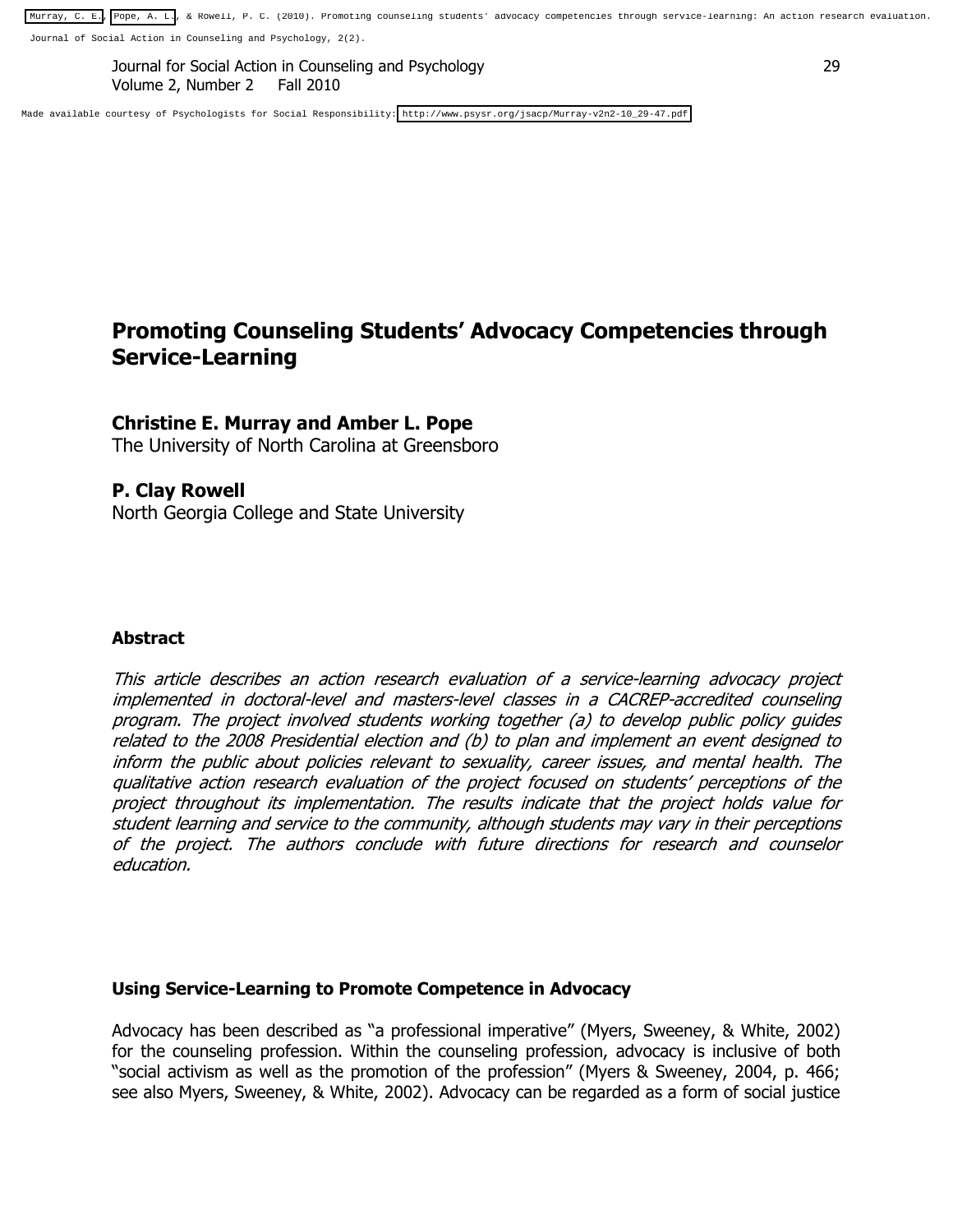[Murray, C. E.,](http://www.psysr.org/jsacp/Murray-v2n2-10_29-47.pdf) [Pope, A. L.](http://libres.uncg.edu/ir/uncg/clist.aspx?id=3414), & Rowell, P. C. (2010). Promoting counseling students' advocacy competencies through service-learning: An action research evaluation.

Journal of Social Action in Counseling and Psychology, 2(2).

Journal for Social Action in Counseling and Psychology 29 Volume 2, Number 2 Fall 2010

Made available courtesy of Psychologists for Social Responsibility[: http://www.psysr.org/jsacp/Murray-v2n2-10\\_29-47.pdf](http://www.psysr.org/jsacp/Murray-v2n2-10_29-47.pdf) 

# **Promoting Counseling Students' Advocacy Competencies through Service-Learning**

#### **Christine E. Murray and Amber L. Pope**

The University of North Carolina at Greensboro

#### **P. Clay Rowell**

North Georgia College and State University

#### **Abstract**

This article describes an action research evaluation of a service-learning advocacy project implemented in doctoral-level and masters-level classes in a CACREP-accredited counseling program. The project involved students working together (a) to develop public policy guides related to the 2008 Presidential election and (b) to plan and implement an event designed to inform the public about policies relevant to sexuality, career issues, and mental health. The qualitative action research evaluation of the project focused on students' perceptions of the project throughout its implementation. The results indicate that the project holds value for student learning and service to the community, although students may vary in their perceptions of the project. The authors conclude with future directions for research and counselor education.

#### **Using Service-Learning to Promote Competence in Advocacy**

Advocacy has been described as "a professional imperative" (Myers, Sweeney, & White, 2002) for the counseling profession. Within the counseling profession, advocacy is inclusive of both "social activism as well as the promotion of the profession" (Myers & Sweeney, 2004, p. 466; see also Myers, Sweeney, & White, 2002). Advocacy can be regarded as a form of social justice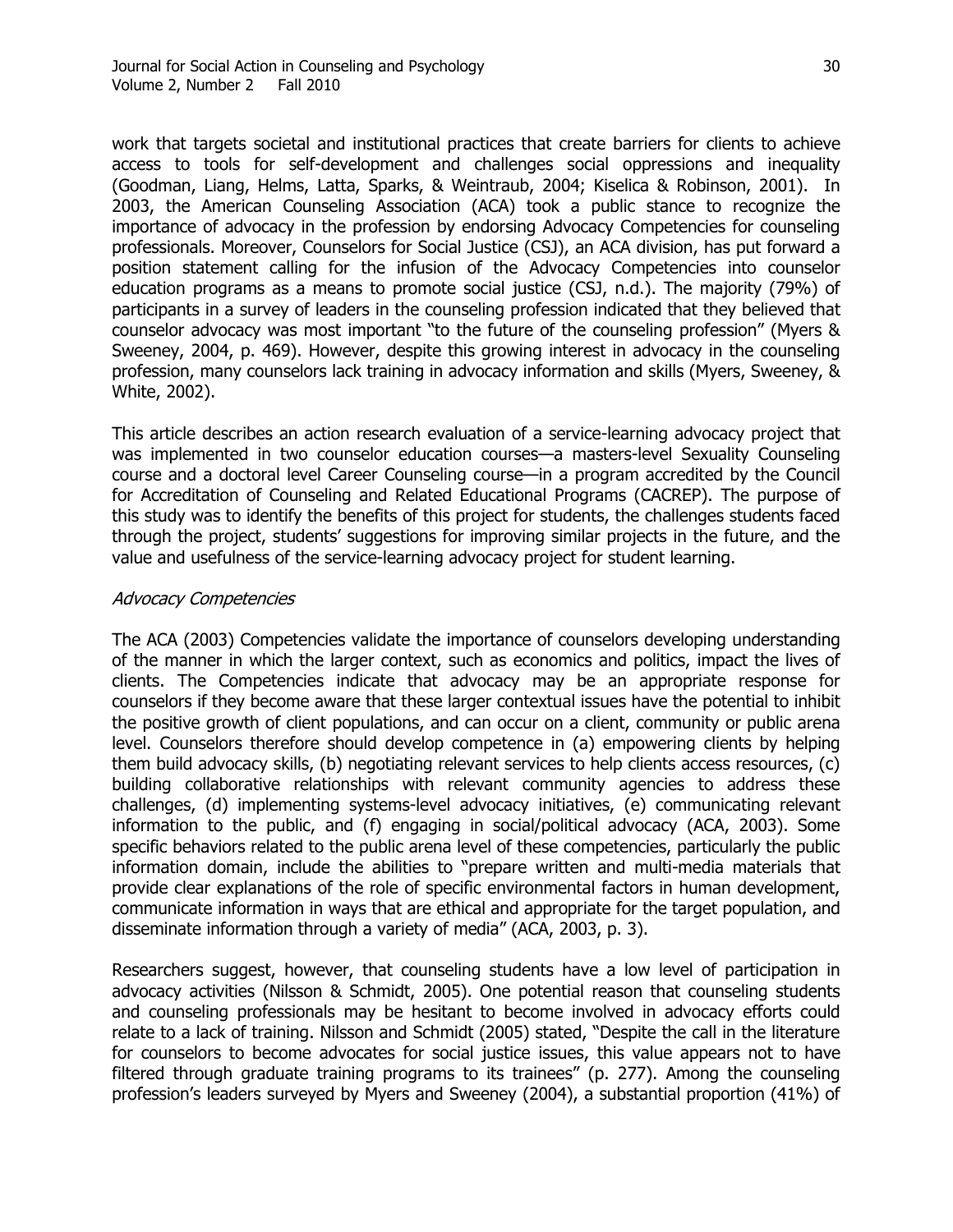work that targets societal and institutional practices that create barriers for clients to achieve access to tools for self-development and challenges social oppressions and inequality (Goodman, Liang, Helms, Latta, Sparks, & Weintraub, 2004; Kiselica & Robinson, 2001). In 2003, the American Counseling Association (ACA) took a public stance to recognize the importance of advocacy in the profession by endorsing Advocacy Competencies for counseling professionals. Moreover, Counselors for Social Justice (CSJ), an ACA division, has put forward a position statement calling for the infusion of the Advocacy Competencies into counselor education programs as a means to promote social justice (CSJ, n.d.). The majority (79%) of participants in a survey of leaders in the counseling profession indicated that they believed that counselor advocacy was most important "to the future of the counseling profession" (Myers & Sweeney, 2004, p. 469). However, despite this growing interest in advocacy in the counseling profession, many counselors lack training in advocacy information and skills (Myers, Sweeney, & White, 2002).

This article describes an action research evaluation of a service-learning advocacy project that was implemented in two counselor education courses—a masters-level Sexuality Counseling course and a doctoral level Career Counseling course—in a program accredited by the Council for Accreditation of Counseling and Related Educational Programs (CACREP). The purpose of this study was to identify the benefits of this project for students, the challenges students faced through the project, students' suggestions for improving similar projects in the future, and the value and usefulness of the service-learning advocacy project for student learning.

#### Advocacy Competencies

The ACA (2003) Competencies validate the importance of counselors developing understanding of the manner in which the larger context, such as economics and politics, impact the lives of clients. The Competencies indicate that advocacy may be an appropriate response for counselors if they become aware that these larger contextual issues have the potential to inhibit the positive growth of client populations, and can occur on a client, community or public arena level. Counselors therefore should develop competence in (a) empowering clients by helping them build advocacy skills, (b) negotiating relevant services to help clients access resources, (c) building collaborative relationships with relevant community agencies to address these challenges, (d) implementing systems-level advocacy initiatives, (e) communicating relevant information to the public, and (f) engaging in social/political advocacy (ACA, 2003). Some specific behaviors related to the public arena level of these competencies, particularly the public information domain, include the abilities to "prepare written and multi-media materials that provide clear explanations of the role of specific environmental factors in human development, communicate information in ways that are ethical and appropriate for the target population, and disseminate information through a variety of media" (ACA, 2003, p. 3).

Researchers suggest, however, that counseling students have a low level of participation in advocacy activities (Nilsson & Schmidt, 2005). One potential reason that counseling students and counseling professionals may be hesitant to become involved in advocacy efforts could relate to a lack of training. Nilsson and Schmidt (2005) stated, "Despite the call in the literature for counselors to become advocates for social justice issues, this value appears not to have filtered through graduate training programs to its trainees" (p. 277). Among the counseling profession's leaders surveyed by Myers and Sweeney (2004), a substantial proportion (41%) of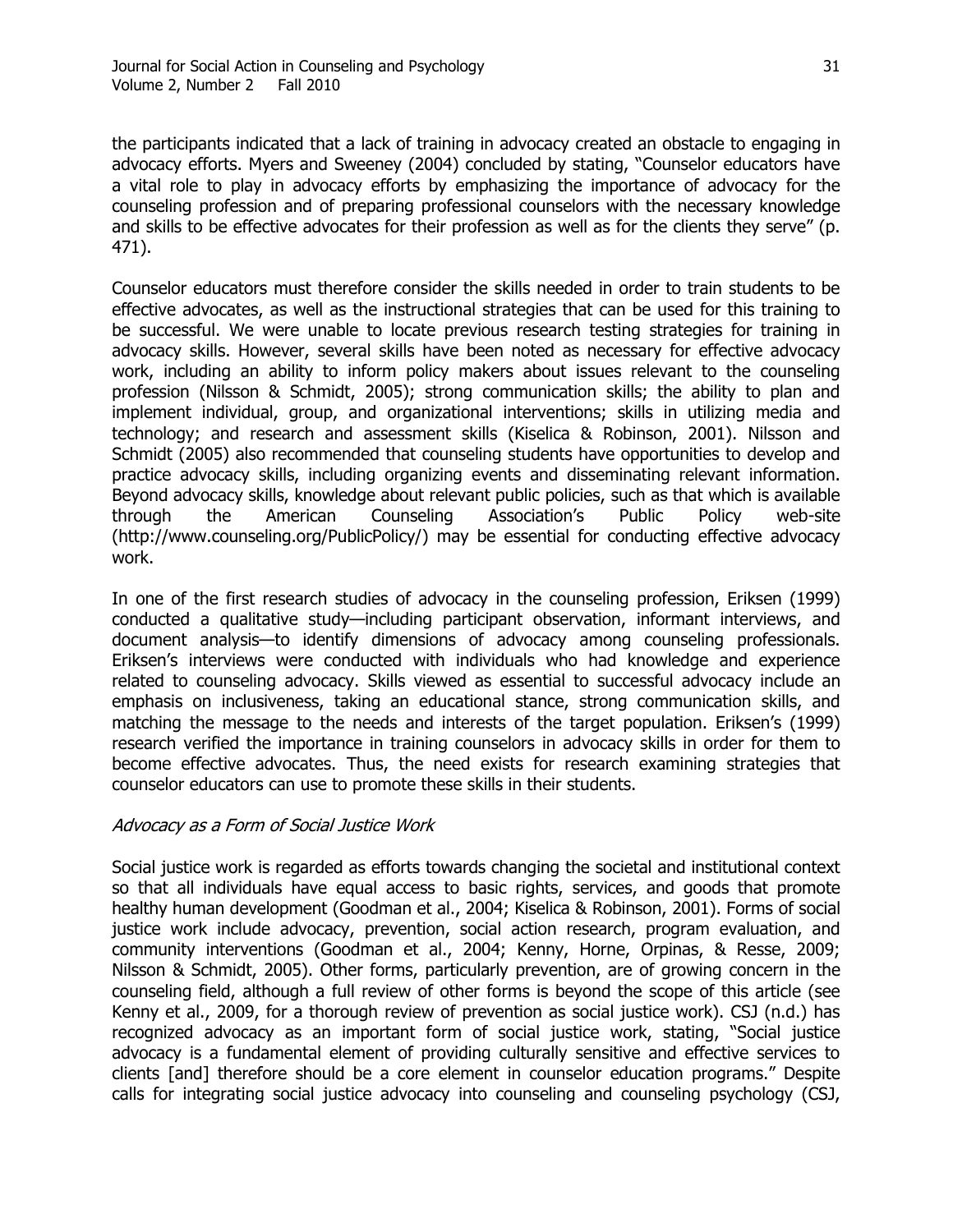the participants indicated that a lack of training in advocacy created an obstacle to engaging in advocacy efforts. Myers and Sweeney (2004) concluded by stating, "Counselor educators have a vital role to play in advocacy efforts by emphasizing the importance of advocacy for the counseling profession and of preparing professional counselors with the necessary knowledge and skills to be effective advocates for their profession as well as for the clients they serve" (p. 471).

Counselor educators must therefore consider the skills needed in order to train students to be effective advocates, as well as the instructional strategies that can be used for this training to be successful. We were unable to locate previous research testing strategies for training in advocacy skills. However, several skills have been noted as necessary for effective advocacy work, including an ability to inform policy makers about issues relevant to the counseling profession (Nilsson & Schmidt, 2005); strong communication skills; the ability to plan and implement individual, group, and organizational interventions; skills in utilizing media and technology; and research and assessment skills (Kiselica & Robinson, 2001). Nilsson and Schmidt (2005) also recommended that counseling students have opportunities to develop and practice advocacy skills, including organizing events and disseminating relevant information. Beyond advocacy skills, knowledge about relevant public policies, such as that which is available through the American Counseling Association's Public Policy web-site (http://www.counseling.org/PublicPolicy/) may be essential for conducting effective advocacy work.

In one of the first research studies of advocacy in the counseling profession, Eriksen (1999) conducted a qualitative study—including participant observation, informant interviews, and document analysis—to identify dimensions of advocacy among counseling professionals. Eriksen's interviews were conducted with individuals who had knowledge and experience related to counseling advocacy. Skills viewed as essential to successful advocacy include an emphasis on inclusiveness, taking an educational stance, strong communication skills, and matching the message to the needs and interests of the target population. Eriksen's (1999) research verified the importance in training counselors in advocacy skills in order for them to become effective advocates. Thus, the need exists for research examining strategies that counselor educators can use to promote these skills in their students.

#### Advocacy as a Form of Social Justice Work

Social justice work is regarded as efforts towards changing the societal and institutional context so that all individuals have equal access to basic rights, services, and goods that promote healthy human development (Goodman et al., 2004; Kiselica & Robinson, 2001). Forms of social justice work include advocacy, prevention, social action research, program evaluation, and community interventions (Goodman et al., 2004; Kenny, Horne, Orpinas, & Resse, 2009; Nilsson & Schmidt, 2005). Other forms, particularly prevention, are of growing concern in the counseling field, although a full review of other forms is beyond the scope of this article (see Kenny et al., 2009, for a thorough review of prevention as social justice work). CSJ (n.d.) has recognized advocacy as an important form of social justice work, stating, "Social justice advocacy is a fundamental element of providing culturally sensitive and effective services to clients [and] therefore should be a core element in counselor education programs." Despite calls for integrating social justice advocacy into counseling and counseling psychology (CSJ,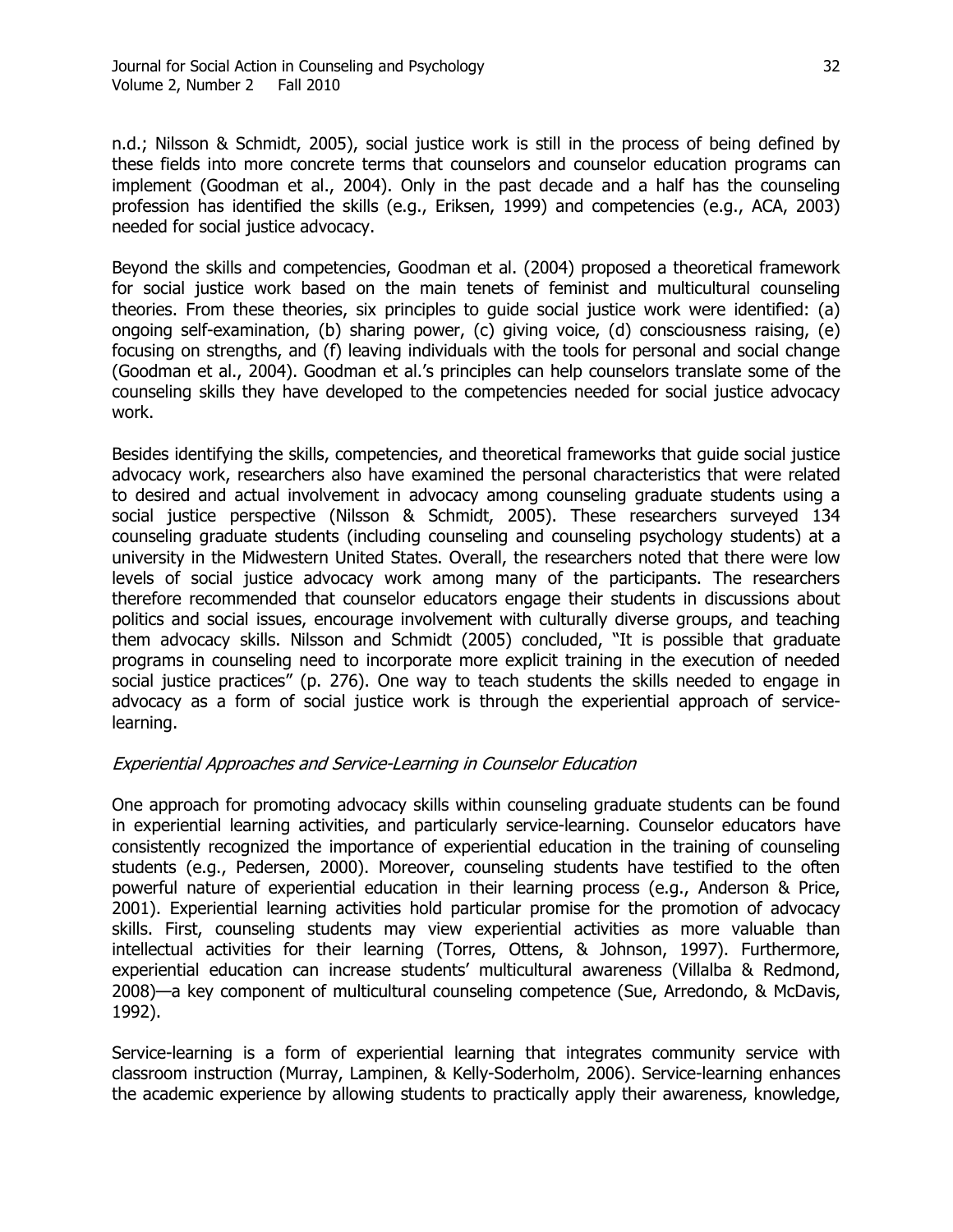n.d.; Nilsson & Schmidt, 2005), social justice work is still in the process of being defined by these fields into more concrete terms that counselors and counselor education programs can implement (Goodman et al., 2004). Only in the past decade and a half has the counseling profession has identified the skills (e.g., Eriksen, 1999) and competencies (e.g., ACA, 2003) needed for social justice advocacy.

Beyond the skills and competencies, Goodman et al. (2004) proposed a theoretical framework for social justice work based on the main tenets of feminist and multicultural counseling theories. From these theories, six principles to guide social justice work were identified: (a) ongoing self-examination, (b) sharing power, (c) giving voice, (d) consciousness raising, (e) focusing on strengths, and (f) leaving individuals with the tools for personal and social change (Goodman et al., 2004). Goodman et al.'s principles can help counselors translate some of the counseling skills they have developed to the competencies needed for social justice advocacy work.

Besides identifying the skills, competencies, and theoretical frameworks that guide social justice advocacy work, researchers also have examined the personal characteristics that were related to desired and actual involvement in advocacy among counseling graduate students using a social justice perspective (Nilsson & Schmidt, 2005). These researchers surveyed 134 counseling graduate students (including counseling and counseling psychology students) at a university in the Midwestern United States. Overall, the researchers noted that there were low levels of social justice advocacy work among many of the participants. The researchers therefore recommended that counselor educators engage their students in discussions about politics and social issues, encourage involvement with culturally diverse groups, and teaching them advocacy skills. Nilsson and Schmidt (2005) concluded, "It is possible that graduate programs in counseling need to incorporate more explicit training in the execution of needed social justice practices" (p. 276). One way to teach students the skills needed to engage in advocacy as a form of social justice work is through the experiential approach of servicelearning.

# Experiential Approaches and Service-Learning in Counselor Education

One approach for promoting advocacy skills within counseling graduate students can be found in experiential learning activities, and particularly service-learning. Counselor educators have consistently recognized the importance of experiential education in the training of counseling students (e.g., Pedersen, 2000). Moreover, counseling students have testified to the often powerful nature of experiential education in their learning process (e.g., Anderson & Price, 2001). Experiential learning activities hold particular promise for the promotion of advocacy skills. First, counseling students may view experiential activities as more valuable than intellectual activities for their learning (Torres, Ottens, & Johnson, 1997). Furthermore, experiential education can increase students' multicultural awareness (Villalba & Redmond, 2008)—a key component of multicultural counseling competence (Sue, Arredondo, & McDavis, 1992).

Service-learning is a form of experiential learning that integrates community service with classroom instruction (Murray, Lampinen, & Kelly-Soderholm, 2006). Service-learning enhances the academic experience by allowing students to practically apply their awareness, knowledge,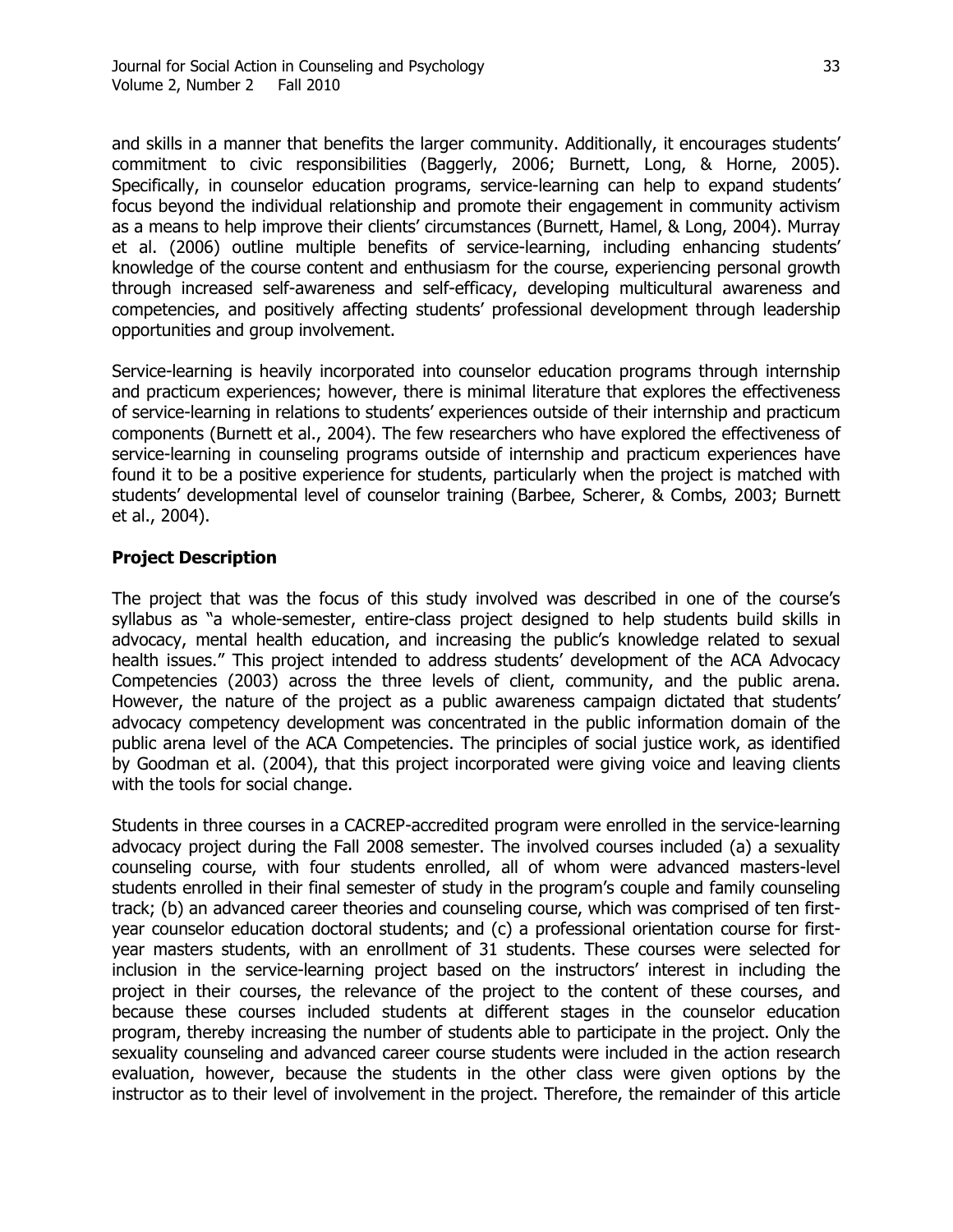and skills in a manner that benefits the larger community. Additionally, it encourages students' commitment to civic responsibilities (Baggerly, 2006; Burnett, Long, & Horne, 2005). Specifically, in counselor education programs, service-learning can help to expand students' focus beyond the individual relationship and promote their engagement in community activism as a means to help improve their clients' circumstances (Burnett, Hamel, & Long, 2004). Murray et al. (2006) outline multiple benefits of service-learning, including enhancing students' knowledge of the course content and enthusiasm for the course, experiencing personal growth through increased self-awareness and self-efficacy, developing multicultural awareness and competencies, and positively affecting students' professional development through leadership opportunities and group involvement.

Service-learning is heavily incorporated into counselor education programs through internship and practicum experiences; however, there is minimal literature that explores the effectiveness of service-learning in relations to students' experiences outside of their internship and practicum components (Burnett et al., 2004). The few researchers who have explored the effectiveness of service-learning in counseling programs outside of internship and practicum experiences have found it to be a positive experience for students, particularly when the project is matched with students' developmental level of counselor training (Barbee, Scherer, & Combs, 2003; Burnett et al., 2004).

# **Project Description**

The project that was the focus of this study involved was described in one of the course's syllabus as "a whole-semester, entire-class project designed to help students build skills in advocacy, mental health education, and increasing the public's knowledge related to sexual health issues." This project intended to address students' development of the ACA Advocacy Competencies (2003) across the three levels of client, community, and the public arena. However, the nature of the project as a public awareness campaign dictated that students' advocacy competency development was concentrated in the public information domain of the public arena level of the ACA Competencies. The principles of social justice work, as identified by Goodman et al. (2004), that this project incorporated were giving voice and leaving clients with the tools for social change.

Students in three courses in a CACREP-accredited program were enrolled in the service-learning advocacy project during the Fall 2008 semester. The involved courses included (a) a sexuality counseling course, with four students enrolled, all of whom were advanced masters-level students enrolled in their final semester of study in the program's couple and family counseling track; (b) an advanced career theories and counseling course, which was comprised of ten firstyear counselor education doctoral students; and (c) a professional orientation course for firstyear masters students, with an enrollment of 31 students. These courses were selected for inclusion in the service-learning project based on the instructors' interest in including the project in their courses, the relevance of the project to the content of these courses, and because these courses included students at different stages in the counselor education program, thereby increasing the number of students able to participate in the project. Only the sexuality counseling and advanced career course students were included in the action research evaluation, however, because the students in the other class were given options by the instructor as to their level of involvement in the project. Therefore, the remainder of this article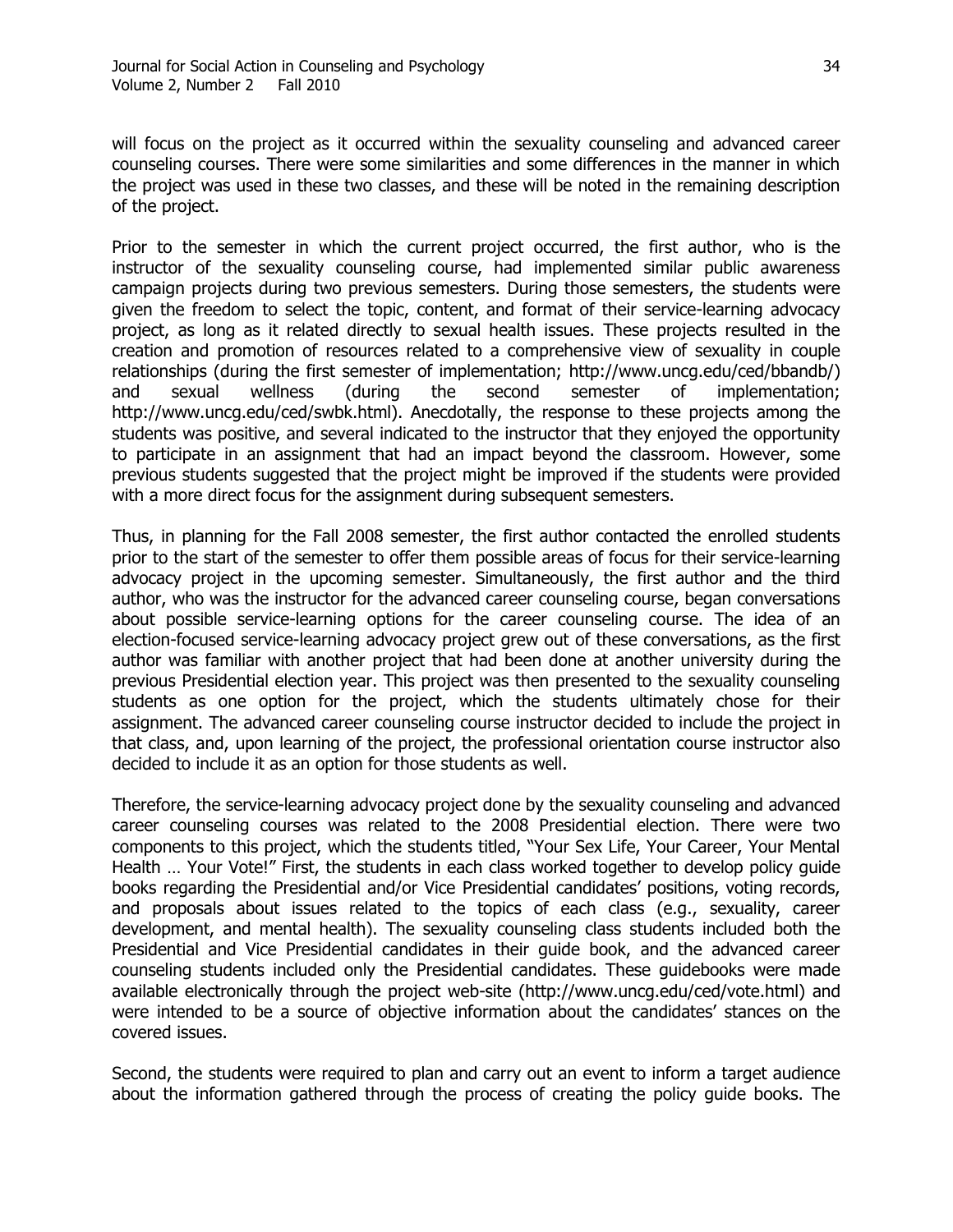will focus on the project as it occurred within the sexuality counseling and advanced career counseling courses. There were some similarities and some differences in the manner in which the project was used in these two classes, and these will be noted in the remaining description of the project.

Prior to the semester in which the current project occurred, the first author, who is the instructor of the sexuality counseling course, had implemented similar public awareness campaign projects during two previous semesters. During those semesters, the students were given the freedom to select the topic, content, and format of their service-learning advocacy project, as long as it related directly to sexual health issues. These projects resulted in the creation and promotion of resources related to a comprehensive view of sexuality in couple relationships (during the first semester of implementation; http://www.uncg.edu/ced/bbandb/) and sexual wellness (during the second semester of implementation; http://www.uncg.edu/ced/swbk.html). Anecdotally, the response to these projects among the students was positive, and several indicated to the instructor that they enjoyed the opportunity to participate in an assignment that had an impact beyond the classroom. However, some previous students suggested that the project might be improved if the students were provided with a more direct focus for the assignment during subsequent semesters.

Thus, in planning for the Fall 2008 semester, the first author contacted the enrolled students prior to the start of the semester to offer them possible areas of focus for their service-learning advocacy project in the upcoming semester. Simultaneously, the first author and the third author, who was the instructor for the advanced career counseling course, began conversations about possible service-learning options for the career counseling course. The idea of an election-focused service-learning advocacy project grew out of these conversations, as the first author was familiar with another project that had been done at another university during the previous Presidential election year. This project was then presented to the sexuality counseling students as one option for the project, which the students ultimately chose for their assignment. The advanced career counseling course instructor decided to include the project in that class, and, upon learning of the project, the professional orientation course instructor also decided to include it as an option for those students as well.

Therefore, the service-learning advocacy project done by the sexuality counseling and advanced career counseling courses was related to the 2008 Presidential election. There were two components to this project, which the students titled, "Your Sex Life, Your Career, Your Mental Health ... Your Vote!" First, the students in each class worked together to develop policy quide books regarding the Presidential and/or Vice Presidential candidates' positions, voting records, and proposals about issues related to the topics of each class (e.g., sexuality, career development, and mental health). The sexuality counseling class students included both the Presidential and Vice Presidential candidates in their guide book, and the advanced career counseling students included only the Presidential candidates. These guidebooks were made available electronically through the project web-site (http://www.uncg.edu/ced/vote.html) and were intended to be a source of objective information about the candidates' stances on the covered issues.

Second, the students were required to plan and carry out an event to inform a target audience about the information gathered through the process of creating the policy guide books. The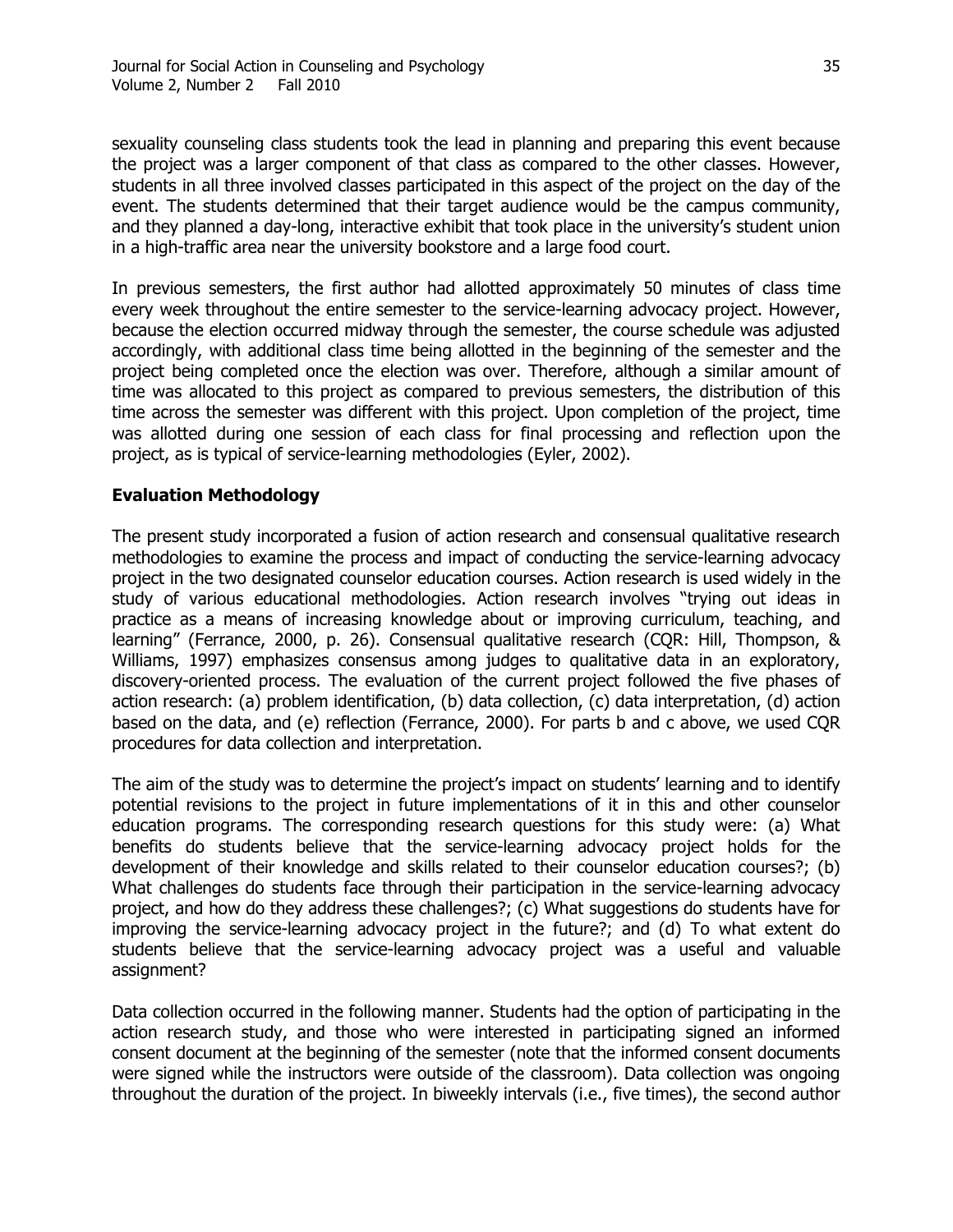sexuality counseling class students took the lead in planning and preparing this event because the project was a larger component of that class as compared to the other classes. However, students in all three involved classes participated in this aspect of the project on the day of the event. The students determined that their target audience would be the campus community, and they planned a day-long, interactive exhibit that took place in the university's student union in a high-traffic area near the university bookstore and a large food court.

In previous semesters, the first author had allotted approximately 50 minutes of class time every week throughout the entire semester to the service-learning advocacy project. However, because the election occurred midway through the semester, the course schedule was adjusted accordingly, with additional class time being allotted in the beginning of the semester and the project being completed once the election was over. Therefore, although a similar amount of time was allocated to this project as compared to previous semesters, the distribution of this time across the semester was different with this project. Upon completion of the project, time was allotted during one session of each class for final processing and reflection upon the project, as is typical of service-learning methodologies (Eyler, 2002).

#### **Evaluation Methodology**

The present study incorporated a fusion of action research and consensual qualitative research methodologies to examine the process and impact of conducting the service-learning advocacy project in the two designated counselor education courses. Action research is used widely in the study of various educational methodologies. Action research involves "trying out ideas in practice as a means of increasing knowledge about or improving curriculum, teaching, and learning" (Ferrance, 2000, p. 26). Consensual qualitative research (CQR: Hill, Thompson, & Williams, 1997) emphasizes consensus among judges to qualitative data in an exploratory, discovery-oriented process. The evaluation of the current project followed the five phases of action research: (a) problem identification, (b) data collection, (c) data interpretation, (d) action based on the data, and (e) reflection (Ferrance, 2000). For parts b and c above, we used CQR procedures for data collection and interpretation.

The aim of the study was to determine the project's impact on students' learning and to identify potential revisions to the project in future implementations of it in this and other counselor education programs. The corresponding research questions for this study were: (a) What benefits do students believe that the service-learning advocacy project holds for the development of their knowledge and skills related to their counselor education courses?; (b) What challenges do students face through their participation in the service-learning advocacy project, and how do they address these challenges?; (c) What suggestions do students have for improving the service-learning advocacy project in the future?; and (d) To what extent do students believe that the service-learning advocacy project was a useful and valuable assignment?

Data collection occurred in the following manner. Students had the option of participating in the action research study, and those who were interested in participating signed an informed consent document at the beginning of the semester (note that the informed consent documents were signed while the instructors were outside of the classroom). Data collection was ongoing throughout the duration of the project. In biweekly intervals (i.e., five times), the second author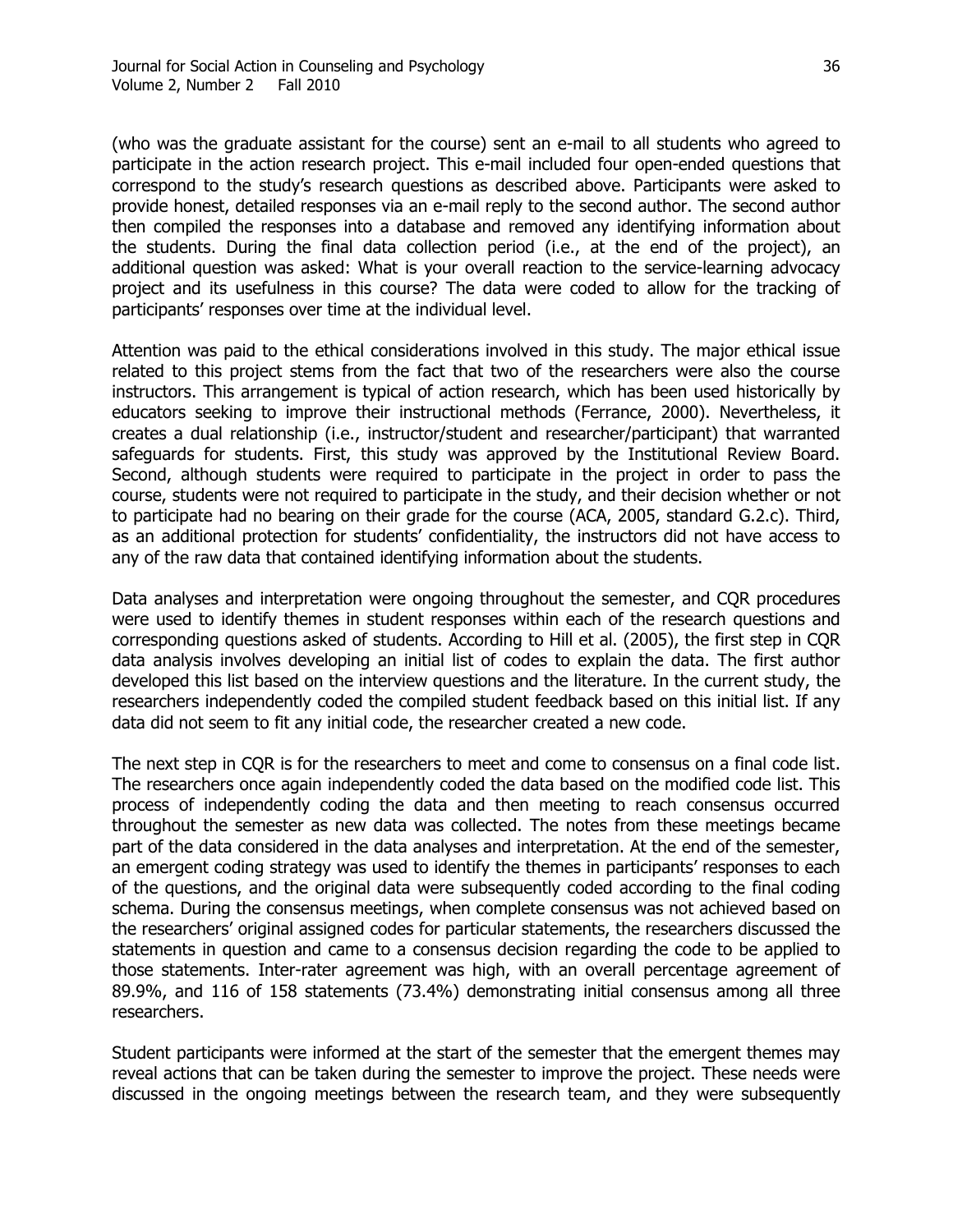(who was the graduate assistant for the course) sent an e-mail to all students who agreed to participate in the action research project. This e-mail included four open-ended questions that correspond to the study's research questions as described above. Participants were asked to provide honest, detailed responses via an e-mail reply to the second author. The second author then compiled the responses into a database and removed any identifying information about the students. During the final data collection period (i.e., at the end of the project), an additional question was asked: What is your overall reaction to the service-learning advocacy project and its usefulness in this course? The data were coded to allow for the tracking of participants' responses over time at the individual level.

Attention was paid to the ethical considerations involved in this study. The major ethical issue related to this project stems from the fact that two of the researchers were also the course instructors. This arrangement is typical of action research, which has been used historically by educators seeking to improve their instructional methods (Ferrance, 2000). Nevertheless, it creates a dual relationship (i.e., instructor/student and researcher/participant) that warranted safeguards for students. First, this study was approved by the Institutional Review Board. Second, although students were required to participate in the project in order to pass the course, students were not required to participate in the study, and their decision whether or not to participate had no bearing on their grade for the course (ACA, 2005, standard G.2.c). Third, as an additional protection for students' confidentiality, the instructors did not have access to any of the raw data that contained identifying information about the students.

Data analyses and interpretation were ongoing throughout the semester, and CQR procedures were used to identify themes in student responses within each of the research questions and corresponding questions asked of students. According to Hill et al. (2005), the first step in CQR data analysis involves developing an initial list of codes to explain the data. The first author developed this list based on the interview questions and the literature. In the current study, the researchers independently coded the compiled student feedback based on this initial list. If any data did not seem to fit any initial code, the researcher created a new code.

The next step in CQR is for the researchers to meet and come to consensus on a final code list. The researchers once again independently coded the data based on the modified code list. This process of independently coding the data and then meeting to reach consensus occurred throughout the semester as new data was collected. The notes from these meetings became part of the data considered in the data analyses and interpretation. At the end of the semester, an emergent coding strategy was used to identify the themes in participants' responses to each of the questions, and the original data were subsequently coded according to the final coding schema. During the consensus meetings, when complete consensus was not achieved based on the researchers' original assigned codes for particular statements, the researchers discussed the statements in question and came to a consensus decision regarding the code to be applied to those statements. Inter-rater agreement was high, with an overall percentage agreement of 89.9%, and 116 of 158 statements (73.4%) demonstrating initial consensus among all three researchers.

Student participants were informed at the start of the semester that the emergent themes may reveal actions that can be taken during the semester to improve the project. These needs were discussed in the ongoing meetings between the research team, and they were subsequently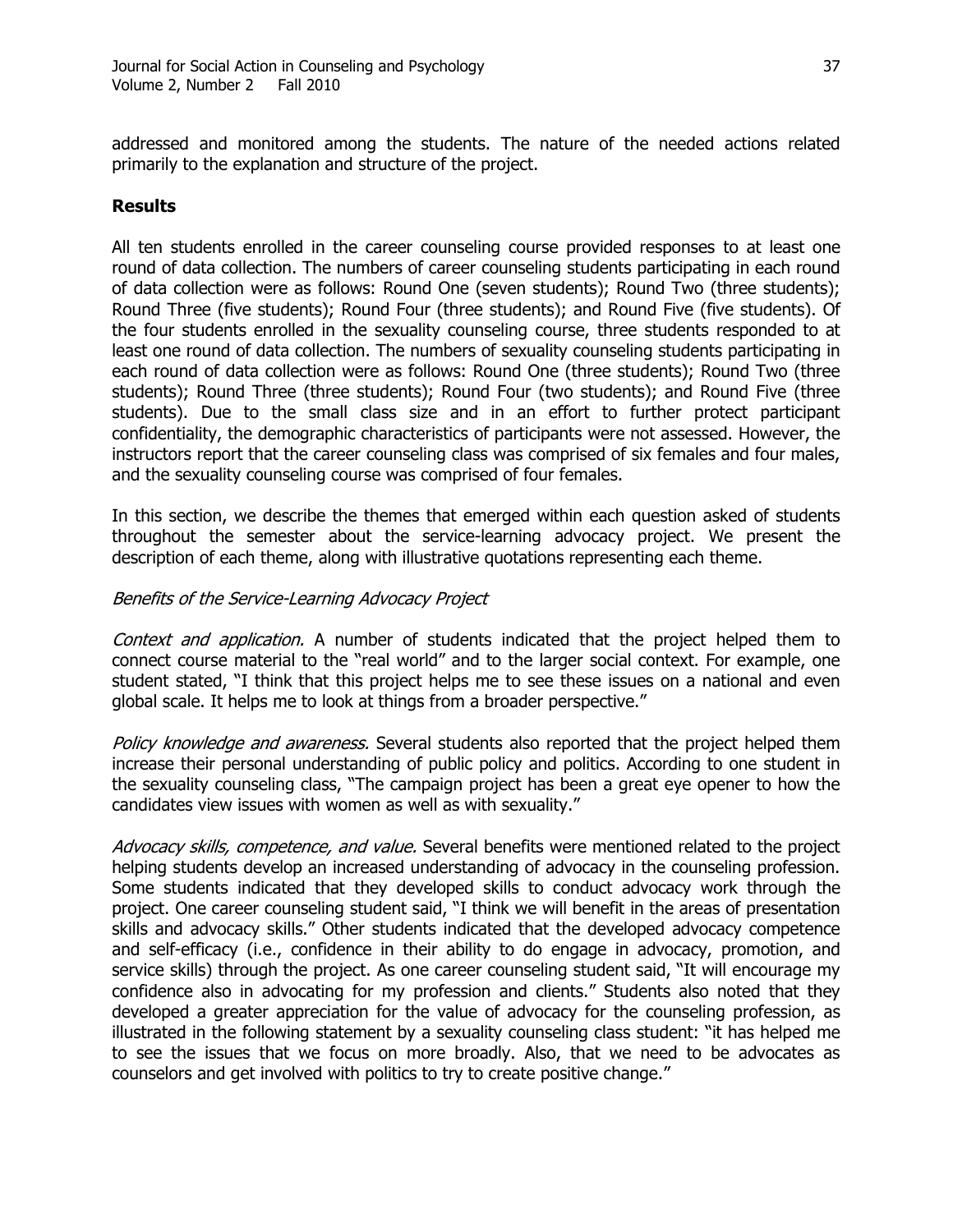addressed and monitored among the students. The nature of the needed actions related primarily to the explanation and structure of the project.

#### **Results**

All ten students enrolled in the career counseling course provided responses to at least one round of data collection. The numbers of career counseling students participating in each round of data collection were as follows: Round One (seven students); Round Two (three students); Round Three (five students); Round Four (three students); and Round Five (five students). Of the four students enrolled in the sexuality counseling course, three students responded to at least one round of data collection. The numbers of sexuality counseling students participating in each round of data collection were as follows: Round One (three students); Round Two (three students); Round Three (three students); Round Four (two students); and Round Five (three students). Due to the small class size and in an effort to further protect participant confidentiality, the demographic characteristics of participants were not assessed. However, the instructors report that the career counseling class was comprised of six females and four males, and the sexuality counseling course was comprised of four females.

In this section, we describe the themes that emerged within each question asked of students throughout the semester about the service-learning advocacy project. We present the description of each theme, along with illustrative quotations representing each theme.

#### Benefits of the Service-Learning Advocacy Project

Context and application. A number of students indicated that the project helped them to connect course material to the "real world" and to the larger social context. For example, one student stated, "I think that this project helps me to see these issues on a national and even global scale. It helps me to look at things from a broader perspective."

Policy knowledge and awareness. Several students also reported that the project helped them increase their personal understanding of public policy and politics. According to one student in the sexuality counseling class, "The campaign project has been a great eye opener to how the candidates view issues with women as well as with sexuality."

Advocacy skills, competence, and value. Several benefits were mentioned related to the project helping students develop an increased understanding of advocacy in the counseling profession. Some students indicated that they developed skills to conduct advocacy work through the project. One career counseling student said, "I think we will benefit in the areas of presentation skills and advocacy skills." Other students indicated that the developed advocacy competence and self-efficacy (i.e., confidence in their ability to do engage in advocacy, promotion, and service skills) through the project. As one career counseling student said, "It will encourage my confidence also in advocating for my profession and clients." Students also noted that they developed a greater appreciation for the value of advocacy for the counseling profession, as illustrated in the following statement by a sexuality counseling class student: "it has helped me to see the issues that we focus on more broadly. Also, that we need to be advocates as counselors and get involved with politics to try to create positive change."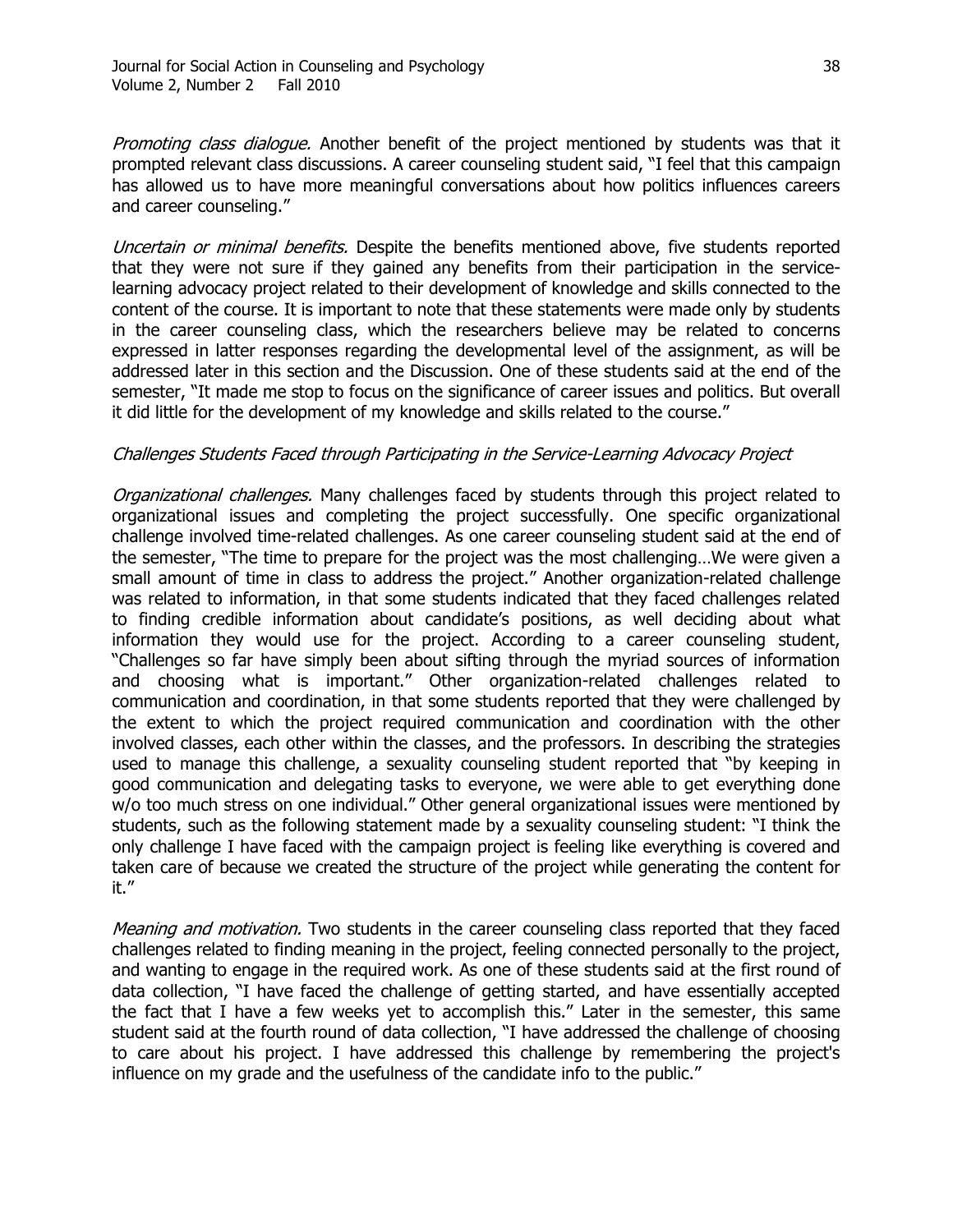Promoting class dialogue. Another benefit of the project mentioned by students was that it prompted relevant class discussions. A career counseling student said, "I feel that this campaign has allowed us to have more meaningful conversations about how politics influences careers and career counseling."

Uncertain or minimal benefits. Despite the benefits mentioned above, five students reported that they were not sure if they gained any benefits from their participation in the servicelearning advocacy project related to their development of knowledge and skills connected to the content of the course. It is important to note that these statements were made only by students in the career counseling class, which the researchers believe may be related to concerns expressed in latter responses regarding the developmental level of the assignment, as will be addressed later in this section and the Discussion. One of these students said at the end of the semester, "It made me stop to focus on the significance of career issues and politics. But overall it did little for the development of my knowledge and skills related to the course."

#### Challenges Students Faced through Participating in the Service-Learning Advocacy Project

Organizational challenges. Many challenges faced by students through this project related to organizational issues and completing the project successfully. One specific organizational challenge involved time-related challenges. As one career counseling student said at the end of the semester, "The time to prepare for the project was the most challenging...We were given a small amount of time in class to address the project." Another organization-related challenge was related to information, in that some students indicated that they faced challenges related to finding credible information about candidate's positions, as well deciding about what information they would use for the project. According to a career counseling student, "Challenges so far have simply been about sifting through the myriad sources of information and choosing what is important." Other organization-related challenges related to communication and coordination, in that some students reported that they were challenged by the extent to which the project required communication and coordination with the other involved classes, each other within the classes, and the professors. In describing the strategies used to manage this challenge, a sexuality counseling student reported that "by keeping in good communication and delegating tasks to everyone, we were able to get everything done w/o too much stress on one individual." Other general organizational issues were mentioned by students, such as the following statement made by a sexuality counseling student: "I think the only challenge I have faced with the campaign project is feeling like everything is covered and taken care of because we created the structure of the project while generating the content for it."

*Meaning and motivation.* Two students in the career counseling class reported that they faced challenges related to finding meaning in the project, feeling connected personally to the project, and wanting to engage in the required work. As one of these students said at the first round of data collection, "I have faced the challenge of getting started, and have essentially accepted the fact that I have a few weeks yet to accomplish this." Later in the semester, this same student said at the fourth round of data collection, "I have addressed the challenge of choosing to care about his project. I have addressed this challenge by remembering the project's influence on my grade and the usefulness of the candidate info to the public."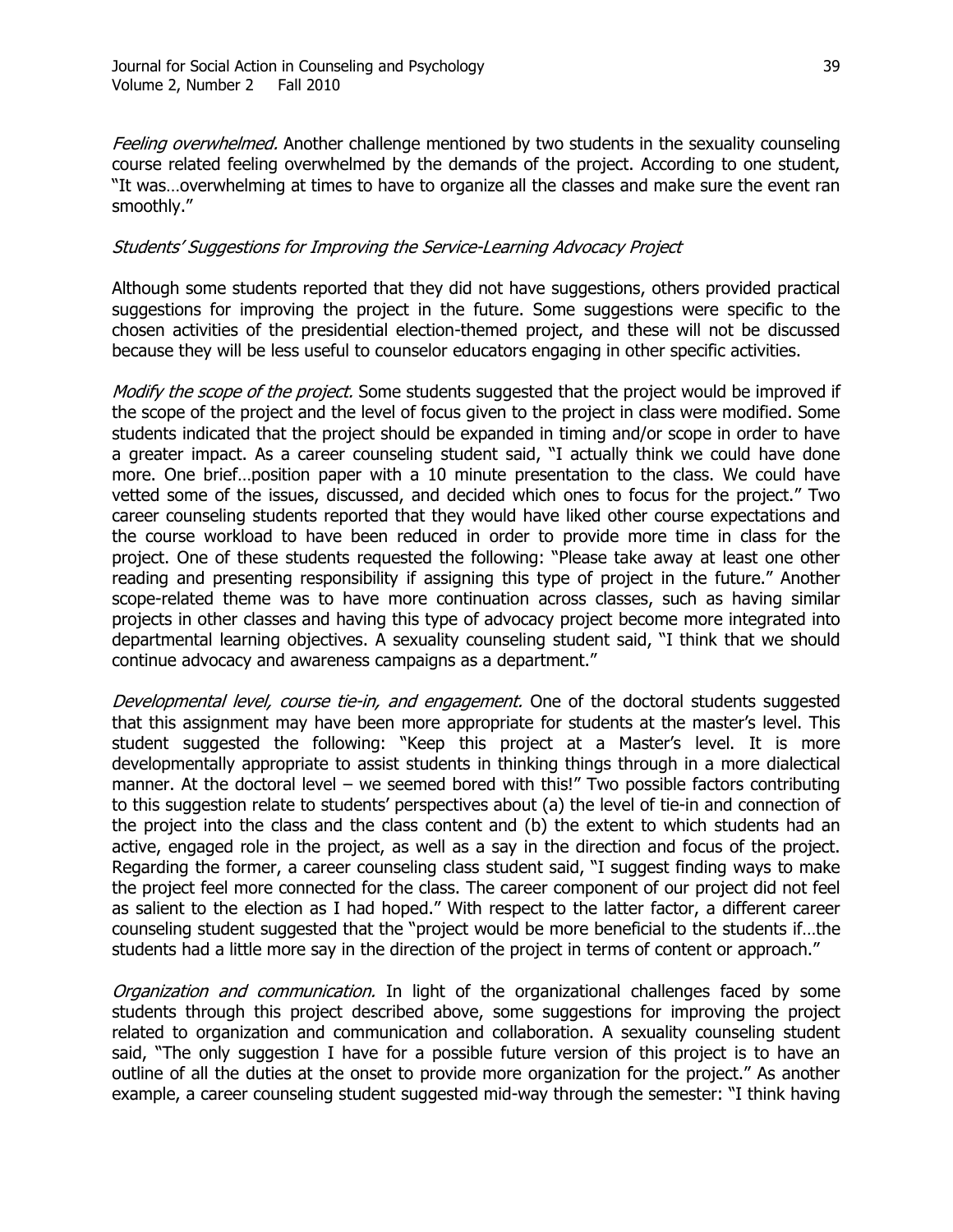Feeling overwhelmed. Another challenge mentioned by two students in the sexuality counseling course related feeling overwhelmed by the demands of the project. According to one student, "It was...overwhelming at times to have to organize all the classes and make sure the event ran smoothly."

#### Students' Suggestions for Improving the Service-Learning Advocacy Project

Although some students reported that they did not have suggestions, others provided practical suggestions for improving the project in the future. Some suggestions were specific to the chosen activities of the presidential election-themed project, and these will not be discussed because they will be less useful to counselor educators engaging in other specific activities.

Modify the scope of the project. Some students suggested that the project would be improved if the scope of the project and the level of focus given to the project in class were modified. Some students indicated that the project should be expanded in timing and/or scope in order to have a greater impact. As a career counseling student said, "I actually think we could have done more. One brief…position paper with a 10 minute presentation to the class. We could have vetted some of the issues, discussed, and decided which ones to focus for the project." Two career counseling students reported that they would have liked other course expectations and the course workload to have been reduced in order to provide more time in class for the project. One of these students requested the following: "Please take away at least one other reading and presenting responsibility if assigning this type of project in the future." Another scope-related theme was to have more continuation across classes, such as having similar projects in other classes and having this type of advocacy project become more integrated into departmental learning objectives. A sexuality counseling student said, "I think that we should continue advocacy and awareness campaigns as a department."

Developmental level, course tie-in, and engagement. One of the doctoral students suggested that this assignment may have been more appropriate for students at the master's level. This student suggested the following: "Keep this project at a Master's level. It is more developmentally appropriate to assist students in thinking things through in a more dialectical manner. At the doctoral level – we seemed bored with this!" Two possible factors contributing to this suggestion relate to students' perspectives about (a) the level of tie-in and connection of the project into the class and the class content and (b) the extent to which students had an active, engaged role in the project, as well as a say in the direction and focus of the project. Regarding the former, a career counseling class student said, "I suggest finding ways to make the project feel more connected for the class. The career component of our project did not feel as salient to the election as I had hoped." With respect to the latter factor, a different career counseling student suggested that the "project would be more beneficial to the students if...the students had a little more say in the direction of the project in terms of content or approach."

*Organization and communication*. In light of the organizational challenges faced by some students through this project described above, some suggestions for improving the project related to organization and communication and collaboration. A sexuality counseling student said, "The only suggestion I have for a possible future version of this project is to have an outline of all the duties at the onset to provide more organization for the project." As another example, a career counseling student suggested mid-way through the semester: "I think having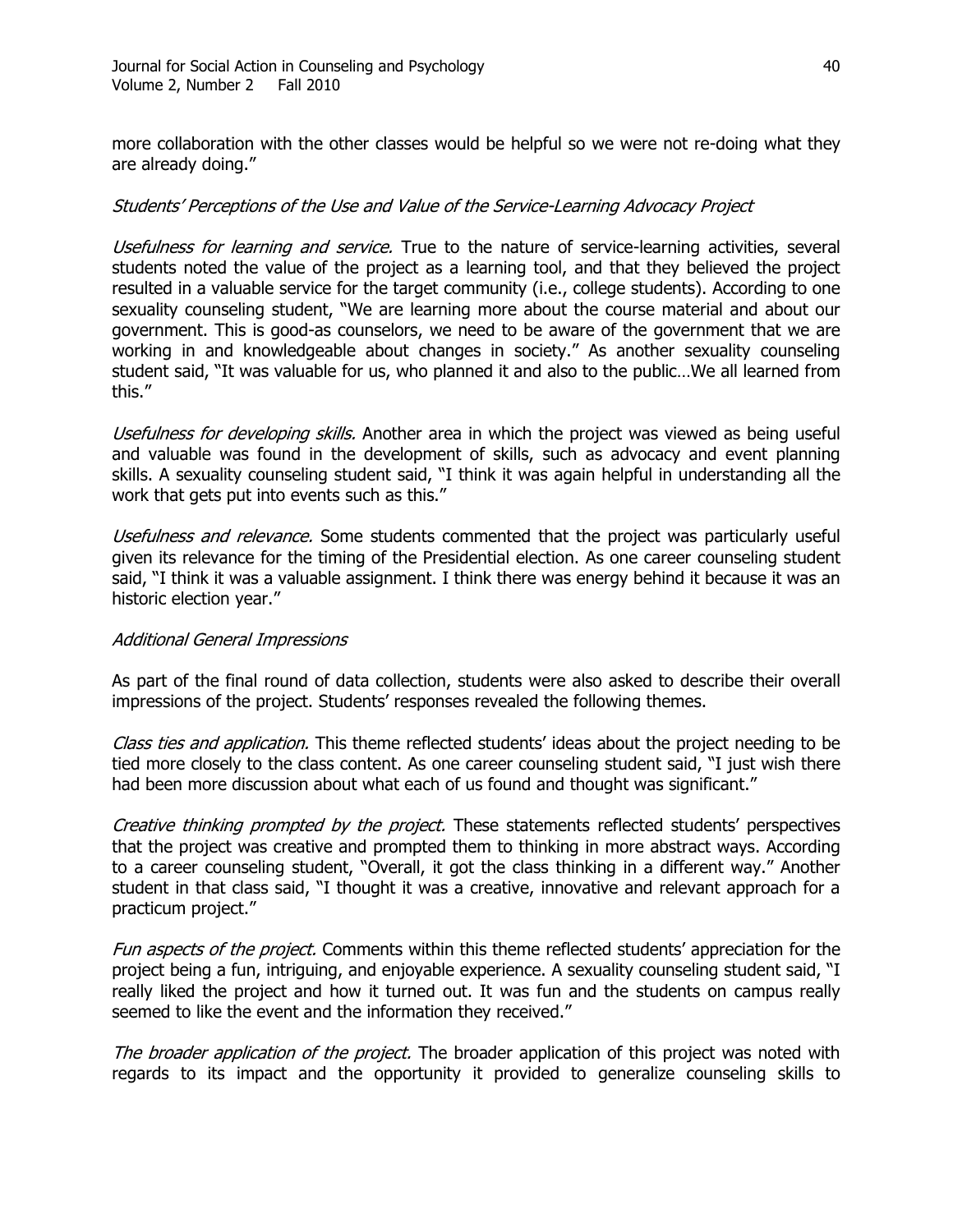more collaboration with the other classes would be helpful so we were not re-doing what they are already doing."

#### Students' Perceptions of the Use and Value of the Service-Learning Advocacy Project

Usefulness for learning and service. True to the nature of service-learning activities, several students noted the value of the project as a learning tool, and that they believed the project resulted in a valuable service for the target community (i.e., college students). According to one sexuality counseling student, "We are learning more about the course material and about our government. This is good-as counselors, we need to be aware of the government that we are working in and knowledgeable about changes in society." As another sexuality counseling student said, "It was valuable for us, who planned it and also to the public...We all learned from this."

Usefulness for developing skills. Another area in which the project was viewed as being useful and valuable was found in the development of skills, such as advocacy and event planning skills. A sexuality counseling student said, "I think it was again helpful in understanding all the work that gets put into events such as this."

Usefulness and relevance. Some students commented that the project was particularly useful given its relevance for the timing of the Presidential election. As one career counseling student said, "I think it was a valuable assignment. I think there was energy behind it because it was an historic election year."

#### Additional General Impressions

As part of the final round of data collection, students were also asked to describe their overall impressions of the project. Students' responses revealed the following themes.

Class ties and application. This theme reflected students' ideas about the project needing to be tied more closely to the class content. As one career counseling student said, "I just wish there had been more discussion about what each of us found and thought was significant."

Creative thinking prompted by the project. These statements reflected students' perspectives that the project was creative and prompted them to thinking in more abstract ways. According to a career counseling student, "Overall, it got the class thinking in a different way." Another student in that class said, "I thought it was a creative, innovative and relevant approach for a practicum project."

Fun aspects of the project. Comments within this theme reflected students' appreciation for the project being a fun, intriguing, and enjoyable experience. A sexuality counseling student said, "I really liked the project and how it turned out. It was fun and the students on campus really seemed to like the event and the information they received."

The broader application of the project. The broader application of this project was noted with regards to its impact and the opportunity it provided to generalize counseling skills to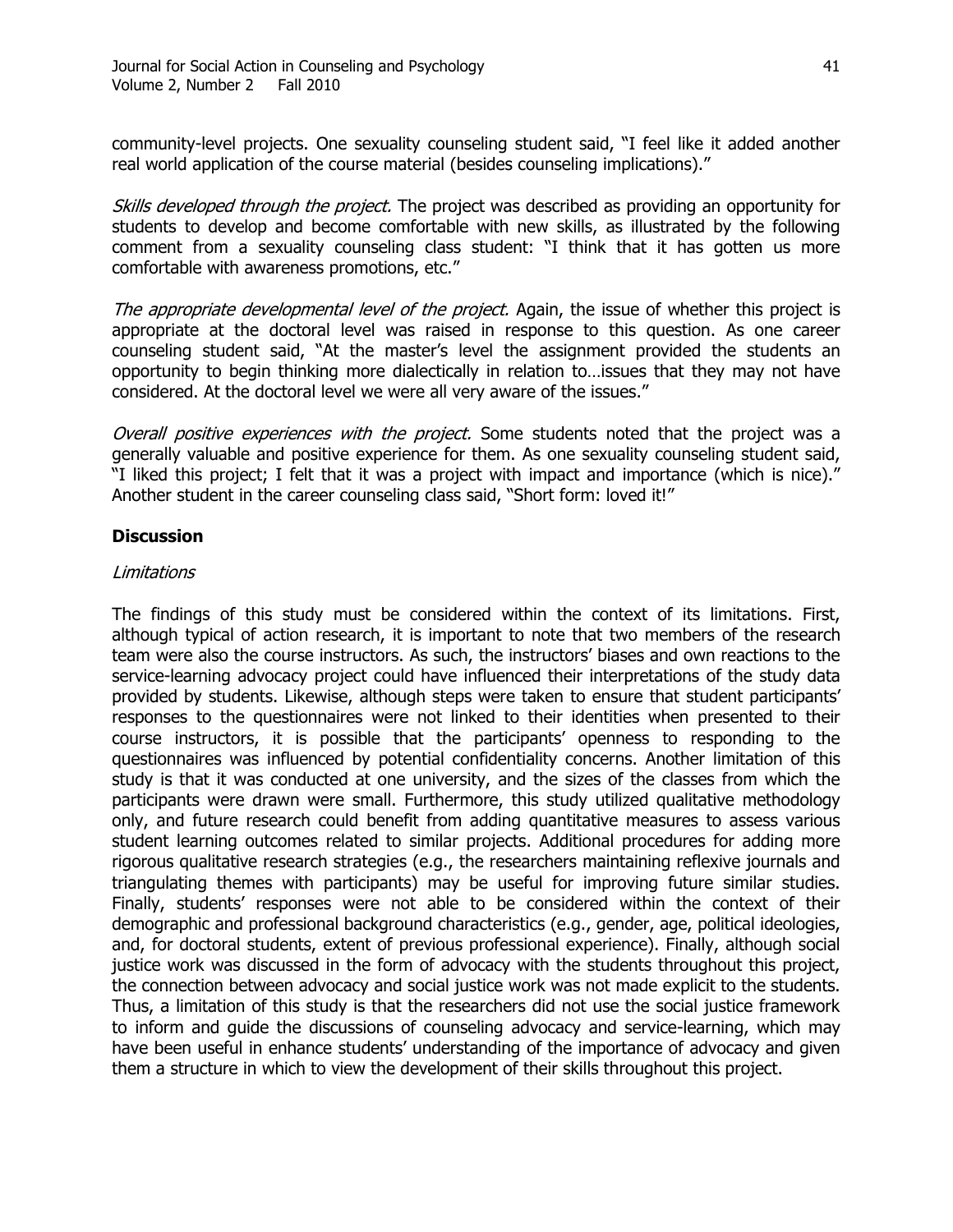community-level projects. One sexuality counseling student said, "I feel like it added another real world application of the course material (besides counseling implications)."

Skills developed through the project. The project was described as providing an opportunity for students to develop and become comfortable with new skills, as illustrated by the following comment from a sexuality counseling class student: "I think that it has gotten us more comfortable with awareness promotions, etc."

The appropriate developmental level of the project. Again, the issue of whether this project is appropriate at the doctoral level was raised in response to this question. As one career counseling student said, "At the master's level the assignment provided the students an opportunity to begin thinking more dialectically in relation to…issues that they may not have considered. At the doctoral level we were all very aware of the issues."

Overall positive experiences with the project. Some students noted that the project was a generally valuable and positive experience for them. As one sexuality counseling student said, "I liked this project; I felt that it was a project with impact and importance (which is nice)." Another student in the career counseling class said, "Short form: loved it!"

### **Discussion**

#### Limitations

The findings of this study must be considered within the context of its limitations. First, although typical of action research, it is important to note that two members of the research team were also the course instructors. As such, the instructors' biases and own reactions to the service-learning advocacy project could have influenced their interpretations of the study data provided by students. Likewise, although steps were taken to ensure that student participants' responses to the questionnaires were not linked to their identities when presented to their course instructors, it is possible that the participants' openness to responding to the questionnaires was influenced by potential confidentiality concerns. Another limitation of this study is that it was conducted at one university, and the sizes of the classes from which the participants were drawn were small. Furthermore, this study utilized qualitative methodology only, and future research could benefit from adding quantitative measures to assess various student learning outcomes related to similar projects. Additional procedures for adding more rigorous qualitative research strategies (e.g., the researchers maintaining reflexive journals and triangulating themes with participants) may be useful for improving future similar studies. Finally, students' responses were not able to be considered within the context of their demographic and professional background characteristics (e.g., gender, age, political ideologies, and, for doctoral students, extent of previous professional experience). Finally, although social justice work was discussed in the form of advocacy with the students throughout this project, the connection between advocacy and social justice work was not made explicit to the students. Thus, a limitation of this study is that the researchers did not use the social justice framework to inform and guide the discussions of counseling advocacy and service-learning, which may have been useful in enhance students' understanding of the importance of advocacy and given them a structure in which to view the development of their skills throughout this project.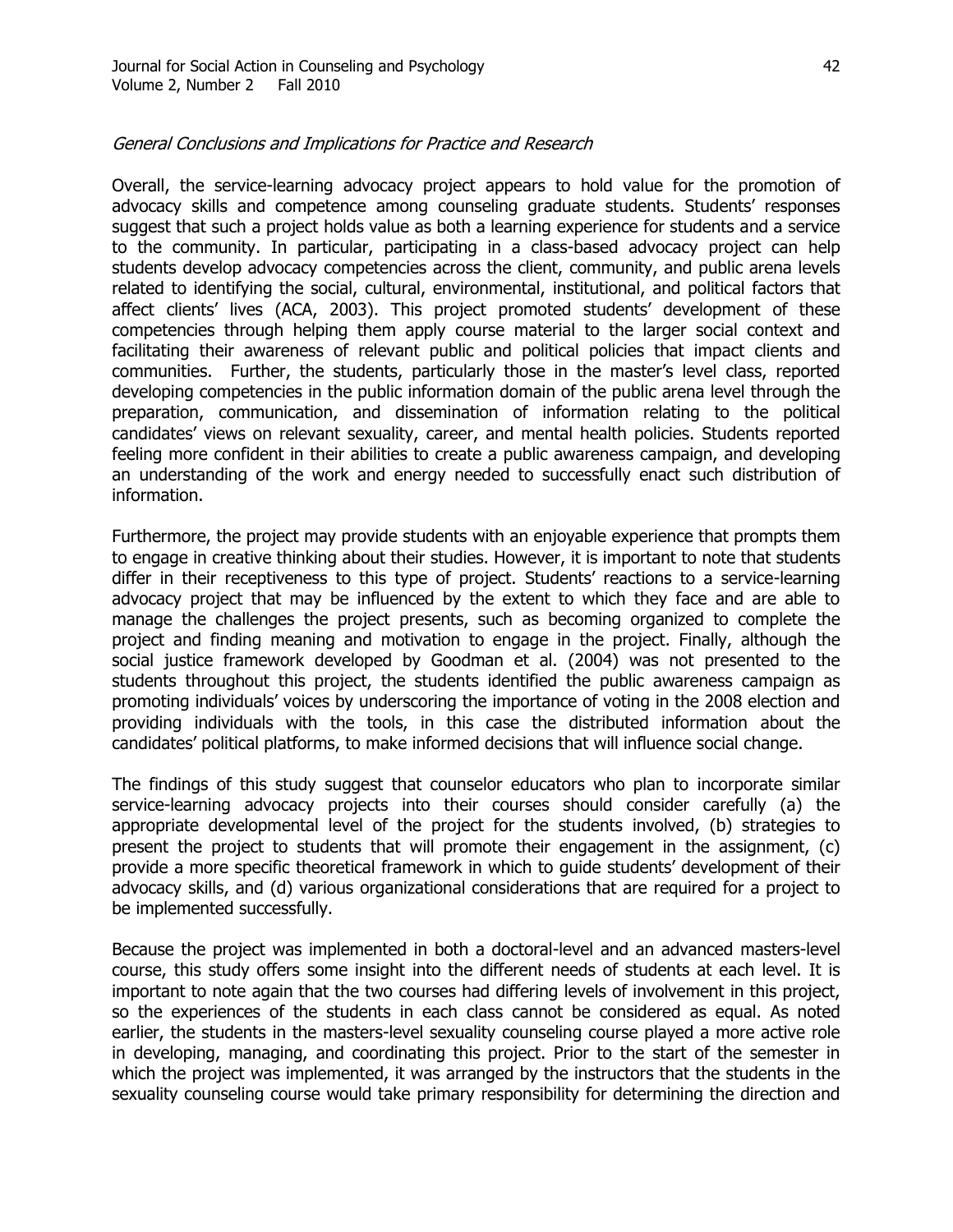#### General Conclusions and Implications for Practice and Research

Overall, the service-learning advocacy project appears to hold value for the promotion of advocacy skills and competence among counseling graduate students. Students' responses suggest that such a project holds value as both a learning experience for students and a service to the community. In particular, participating in a class-based advocacy project can help students develop advocacy competencies across the client, community, and public arena levels related to identifying the social, cultural, environmental, institutional, and political factors that affect clients' lives (ACA, 2003). This project promoted students' development of these competencies through helping them apply course material to the larger social context and facilitating their awareness of relevant public and political policies that impact clients and communities. Further, the students, particularly those in the master's level class, reported developing competencies in the public information domain of the public arena level through the preparation, communication, and dissemination of information relating to the political candidates' views on relevant sexuality, career, and mental health policies. Students reported feeling more confident in their abilities to create a public awareness campaign, and developing an understanding of the work and energy needed to successfully enact such distribution of information.

Furthermore, the project may provide students with an enjoyable experience that prompts them to engage in creative thinking about their studies. However, it is important to note that students differ in their receptiveness to this type of project. Students' reactions to a service-learning advocacy project that may be influenced by the extent to which they face and are able to manage the challenges the project presents, such as becoming organized to complete the project and finding meaning and motivation to engage in the project. Finally, although the social justice framework developed by Goodman et al. (2004) was not presented to the students throughout this project, the students identified the public awareness campaign as promoting individuals' voices by underscoring the importance of voting in the 2008 election and providing individuals with the tools, in this case the distributed information about the candidates' political platforms, to make informed decisions that will influence social change.

The findings of this study suggest that counselor educators who plan to incorporate similar service-learning advocacy projects into their courses should consider carefully (a) the appropriate developmental level of the project for the students involved, (b) strategies to present the project to students that will promote their engagement in the assignment, (c) provide a more specific theoretical framework in which to guide students' development of their advocacy skills, and (d) various organizational considerations that are required for a project to be implemented successfully.

Because the project was implemented in both a doctoral-level and an advanced masters-level course, this study offers some insight into the different needs of students at each level. It is important to note again that the two courses had differing levels of involvement in this project, so the experiences of the students in each class cannot be considered as equal. As noted earlier, the students in the masters-level sexuality counseling course played a more active role in developing, managing, and coordinating this project. Prior to the start of the semester in which the project was implemented, it was arranged by the instructors that the students in the sexuality counseling course would take primary responsibility for determining the direction and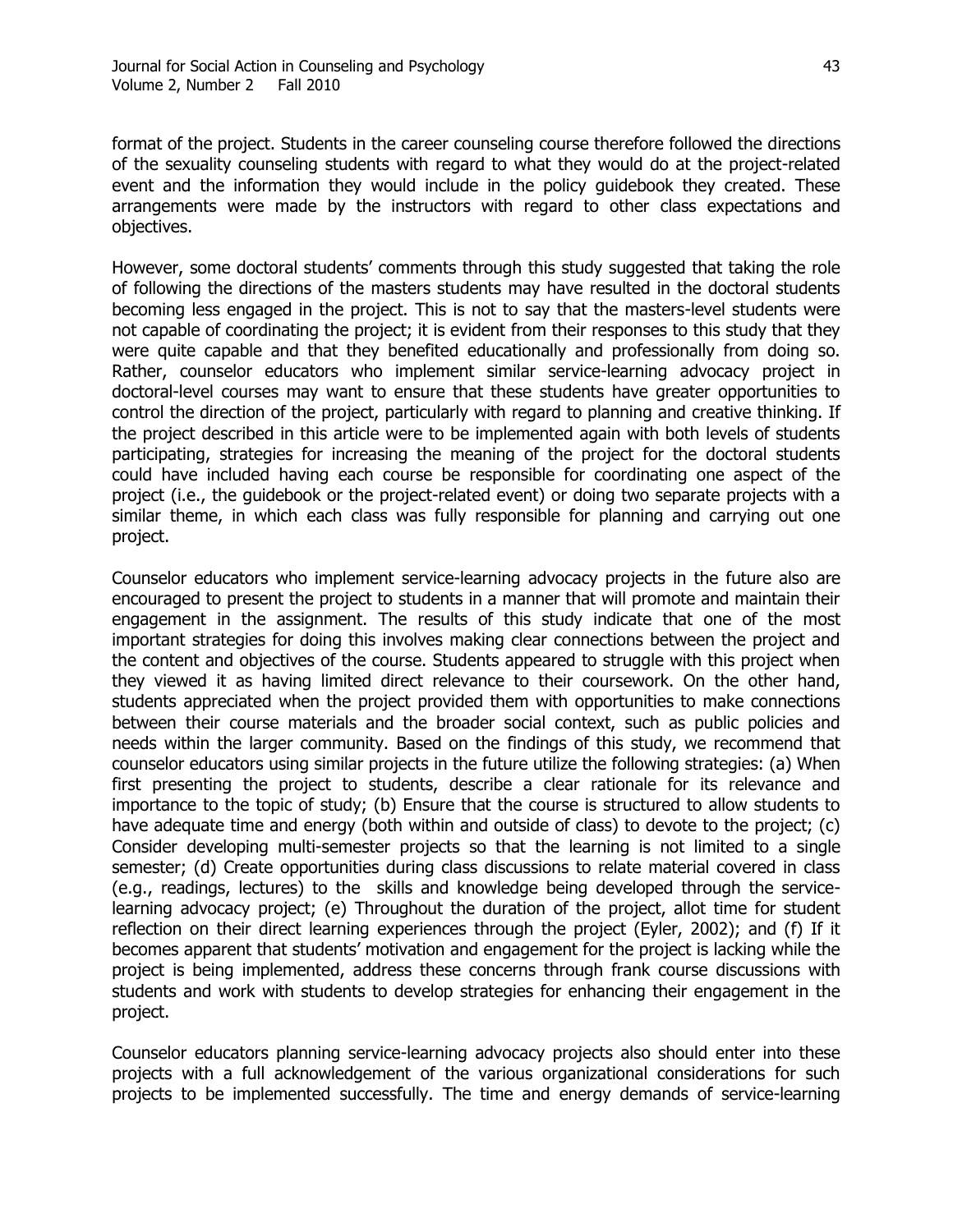format of the project. Students in the career counseling course therefore followed the directions of the sexuality counseling students with regard to what they would do at the project-related event and the information they would include in the policy guidebook they created. These arrangements were made by the instructors with regard to other class expectations and objectives.

However, some doctoral students' comments through this study suggested that taking the role of following the directions of the masters students may have resulted in the doctoral students becoming less engaged in the project. This is not to say that the masters-level students were not capable of coordinating the project; it is evident from their responses to this study that they were quite capable and that they benefited educationally and professionally from doing so. Rather, counselor educators who implement similar service-learning advocacy project in doctoral-level courses may want to ensure that these students have greater opportunities to control the direction of the project, particularly with regard to planning and creative thinking. If the project described in this article were to be implemented again with both levels of students participating, strategies for increasing the meaning of the project for the doctoral students could have included having each course be responsible for coordinating one aspect of the project (i.e., the guidebook or the project-related event) or doing two separate projects with a similar theme, in which each class was fully responsible for planning and carrying out one project.

Counselor educators who implement service-learning advocacy projects in the future also are encouraged to present the project to students in a manner that will promote and maintain their engagement in the assignment. The results of this study indicate that one of the most important strategies for doing this involves making clear connections between the project and the content and objectives of the course. Students appeared to struggle with this project when they viewed it as having limited direct relevance to their coursework. On the other hand, students appreciated when the project provided them with opportunities to make connections between their course materials and the broader social context, such as public policies and needs within the larger community. Based on the findings of this study, we recommend that counselor educators using similar projects in the future utilize the following strategies: (a) When first presenting the project to students, describe a clear rationale for its relevance and importance to the topic of study; (b) Ensure that the course is structured to allow students to have adequate time and energy (both within and outside of class) to devote to the project; (c) Consider developing multi-semester projects so that the learning is not limited to a single semester; (d) Create opportunities during class discussions to relate material covered in class (e.g., readings, lectures) to the skills and knowledge being developed through the servicelearning advocacy project; (e) Throughout the duration of the project, allot time for student reflection on their direct learning experiences through the project (Eyler, 2002); and (f) If it becomes apparent that students' motivation and engagement for the project is lacking while the project is being implemented, address these concerns through frank course discussions with students and work with students to develop strategies for enhancing their engagement in the project.

Counselor educators planning service-learning advocacy projects also should enter into these projects with a full acknowledgement of the various organizational considerations for such projects to be implemented successfully. The time and energy demands of service-learning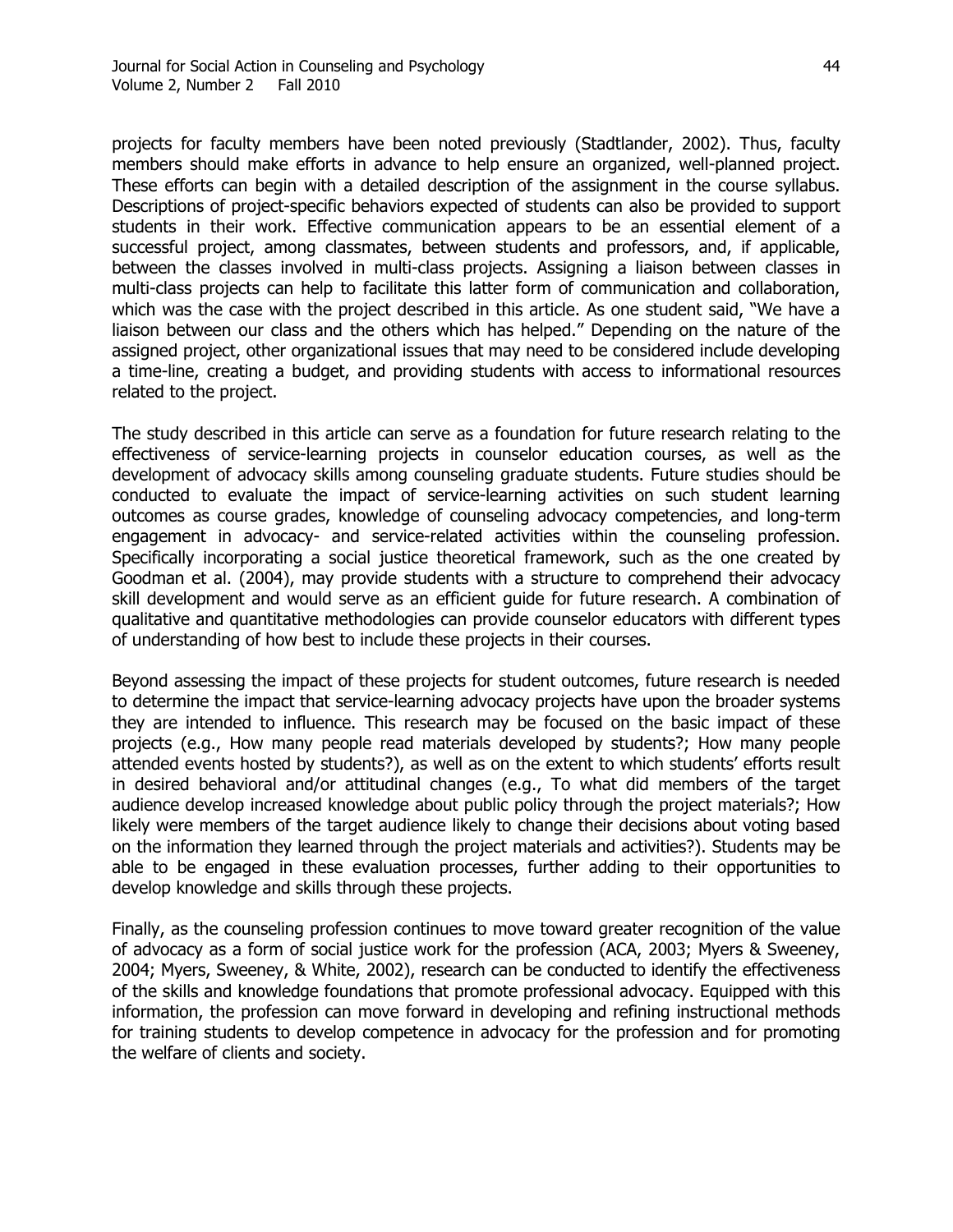projects for faculty members have been noted previously (Stadtlander, 2002). Thus, faculty members should make efforts in advance to help ensure an organized, well-planned project. These efforts can begin with a detailed description of the assignment in the course syllabus. Descriptions of project-specific behaviors expected of students can also be provided to support students in their work. Effective communication appears to be an essential element of a successful project, among classmates, between students and professors, and, if applicable, between the classes involved in multi-class projects. Assigning a liaison between classes in multi-class projects can help to facilitate this latter form of communication and collaboration, which was the case with the project described in this article. As one student said, "We have a liaison between our class and the others which has helped." Depending on the nature of the assigned project, other organizational issues that may need to be considered include developing a time-line, creating a budget, and providing students with access to informational resources related to the project.

The study described in this article can serve as a foundation for future research relating to the effectiveness of service-learning projects in counselor education courses, as well as the development of advocacy skills among counseling graduate students. Future studies should be conducted to evaluate the impact of service-learning activities on such student learning outcomes as course grades, knowledge of counseling advocacy competencies, and long-term engagement in advocacy- and service-related activities within the counseling profession. Specifically incorporating a social justice theoretical framework, such as the one created by Goodman et al. (2004), may provide students with a structure to comprehend their advocacy skill development and would serve as an efficient guide for future research. A combination of qualitative and quantitative methodologies can provide counselor educators with different types of understanding of how best to include these projects in their courses.

Beyond assessing the impact of these projects for student outcomes, future research is needed to determine the impact that service-learning advocacy projects have upon the broader systems they are intended to influence. This research may be focused on the basic impact of these projects (e.g., How many people read materials developed by students?; How many people attended events hosted by students?), as well as on the extent to which students' efforts result in desired behavioral and/or attitudinal changes (e.g., To what did members of the target audience develop increased knowledge about public policy through the project materials?; How likely were members of the target audience likely to change their decisions about voting based on the information they learned through the project materials and activities?). Students may be able to be engaged in these evaluation processes, further adding to their opportunities to develop knowledge and skills through these projects.

Finally, as the counseling profession continues to move toward greater recognition of the value of advocacy as a form of social justice work for the profession (ACA, 2003; Myers & Sweeney, 2004; Myers, Sweeney, & White, 2002), research can be conducted to identify the effectiveness of the skills and knowledge foundations that promote professional advocacy. Equipped with this information, the profession can move forward in developing and refining instructional methods for training students to develop competence in advocacy for the profession and for promoting the welfare of clients and society.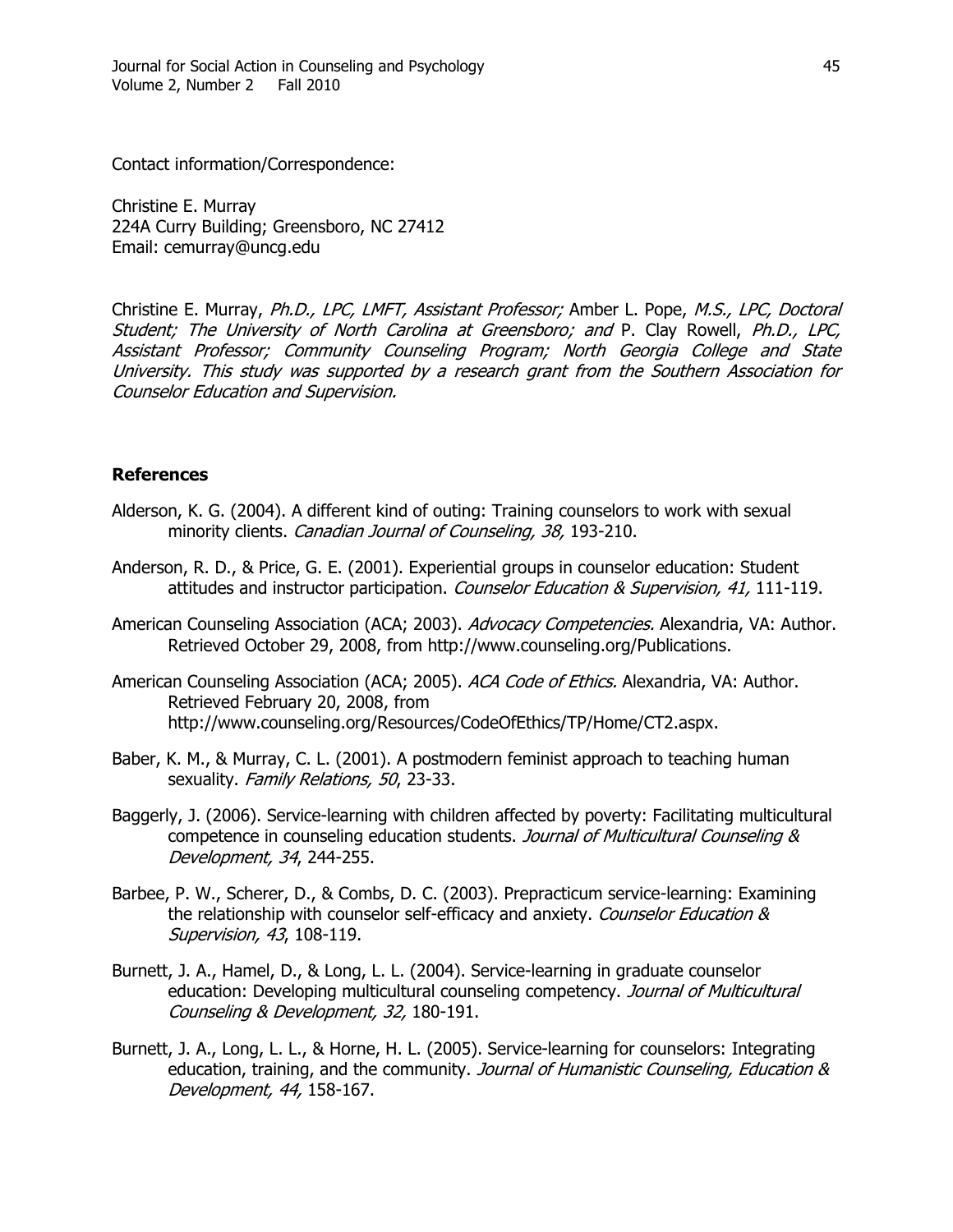Contact information/Correspondence:

Christine E. Murray 224A Curry Building; Greensboro, NC 27412 Email: cemurray@uncg.edu

Christine E. Murray, Ph.D., LPC, LMFT, Assistant Professor; Amber L. Pope, M.S., LPC, Doctoral Student; The University of North Carolina at Greensboro; and P. Clay Rowell, Ph.D., LPC, Assistant Professor; Community Counseling Program; North Georgia College and State University. This study was supported by a research grant from the Southern Association for Counselor Education and Supervision.

### **References**

- Alderson, K. G. (2004). A different kind of outing: Training counselors to work with sexual minority clients. Canadian Journal of Counseling, 38, 193-210.
- Anderson, R. D., & Price, G. E. (2001). Experiential groups in counselor education: Student attitudes and instructor participation. Counselor Education & Supervision, 41, 111-119.
- American Counseling Association (ACA; 2003). Advocacy Competencies. Alexandria, VA: Author. Retrieved October 29, 2008, from http://www.counseling.org/Publications.
- American Counseling Association (ACA; 2005). ACA Code of Ethics. Alexandria, VA: Author. Retrieved February 20, 2008, from http://www.counseling.org/Resources/CodeOfEthics/TP/Home/CT2.aspx.
- Baber, K. M., & Murray, C. L. (2001). A postmodern feminist approach to teaching human sexuality. Family Relations, 50, 23-33.
- Baggerly, J. (2006). Service-learning with children affected by poverty: Facilitating multicultural competence in counseling education students. Journal of Multicultural Counseling & Development, 34, 244-255.
- Barbee, P. W., Scherer, D., & Combs, D. C. (2003). Prepracticum service-learning: Examining the relationship with counselor self-efficacy and anxiety. Counselor Education & Supervision, 43, 108-119.
- Burnett, J. A., Hamel, D., & Long, L. L. (2004). Service-learning in graduate counselor education: Developing multicultural counseling competency. Journal of Multicultural Counseling & Development, 32, 180-191.
- Burnett, J. A., Long, L. L., & Horne, H. L. (2005). Service-learning for counselors: Integrating education, training, and the community. Journal of Humanistic Counseling, Education & Development, 44, 158-167.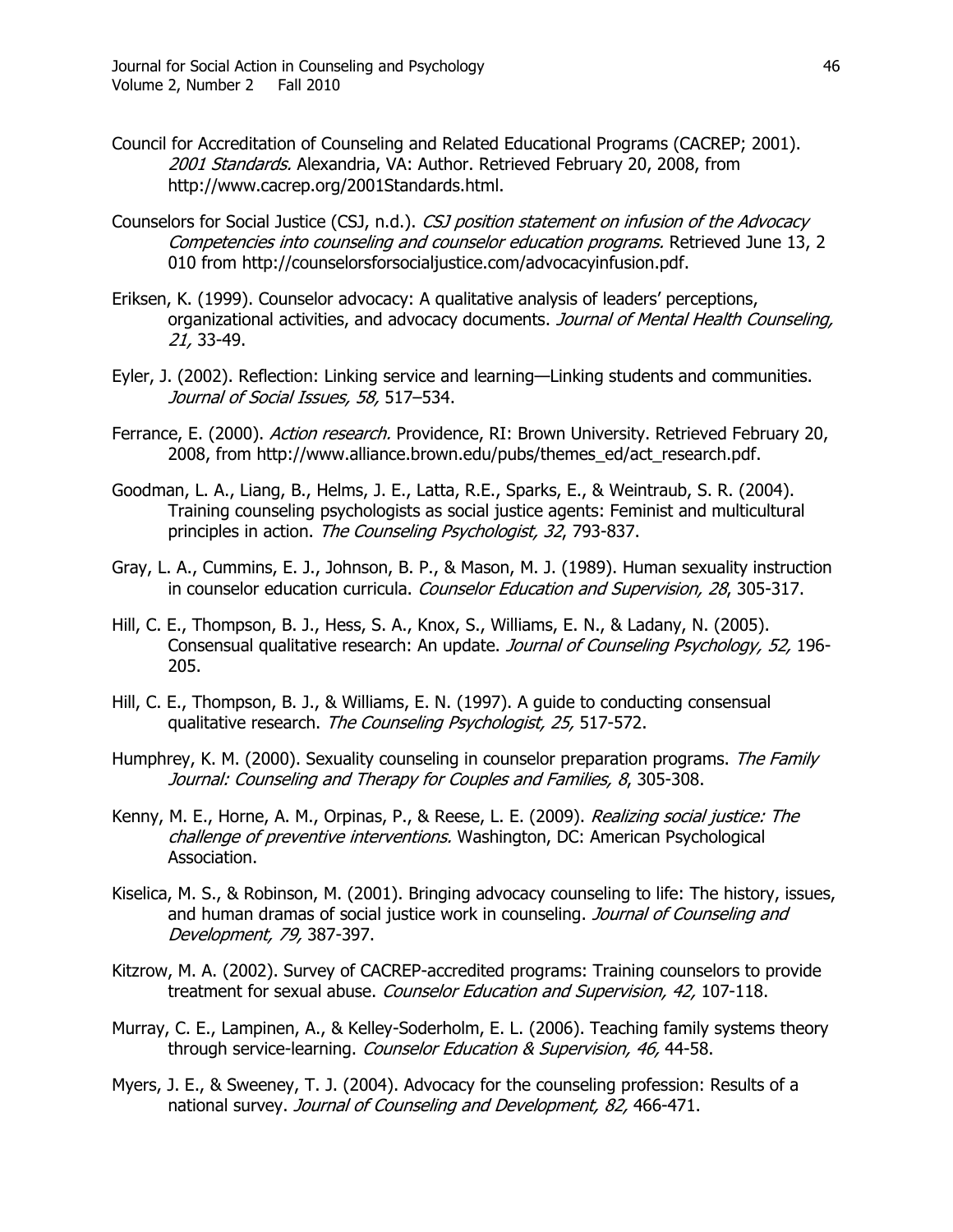- Council for Accreditation of Counseling and Related Educational Programs (CACREP; 2001). 2001 Standards. Alexandria, VA: Author. Retrieved February 20, 2008, from http://www.cacrep.org/2001Standards.html.
- Counselors for Social Justice (CSJ, n.d.). CSJ position statement on infusion of the Advocacy Competencies into counseling and counselor education programs. Retrieved June 13, 2 010 from http://counselorsforsocialjustice.com/advocacyinfusion.pdf.
- Eriksen, K. (1999). Counselor advocacy: A qualitative analysis of leaders' perceptions, organizational activities, and advocacy documents. Journal of Mental Health Counseling, 21, 33-49.
- Eyler, J. (2002). Reflection: Linking service and learning—Linking students and communities. Journal of Social Issues, 58, 517-534.
- Ferrance, E. (2000). Action research. Providence, RI: Brown University. Retrieved February 20, 2008, from http://www.alliance.brown.edu/pubs/themes\_ed/act\_research.pdf.
- Goodman, L. A., Liang, B., Helms, J. E., Latta, R.E., Sparks, E., & Weintraub, S. R. (2004). Training counseling psychologists as social justice agents: Feminist and multicultural principles in action. The Counseling Psychologist, 32, 793-837.
- Gray, L. A., Cummins, E. J., Johnson, B. P., & Mason, M. J. (1989). Human sexuality instruction in counselor education curricula. Counselor Education and Supervision, 28, 305-317.
- Hill, C. E., Thompson, B. J., Hess, S. A., Knox, S., Williams, E. N., & Ladany, N. (2005). Consensual qualitative research: An update. Journal of Counseling Psychology, 52, 196- 205.
- Hill, C. E., Thompson, B. J., & Williams, E. N. (1997). A guide to conducting consensual qualitative research. The Counseling Psychologist, 25, 517-572.
- Humphrey, K. M. (2000). Sexuality counseling in counselor preparation programs. The Family Journal: Counseling and Therapy for Couples and Families, 8, 305-308.
- Kenny, M. E., Horne, A. M., Orpinas, P., & Reese, L. E. (2009). *Realizing social justice: The* challenge of preventive interventions. Washington, DC: American Psychological Association.
- Kiselica, M. S., & Robinson, M. (2001). Bringing advocacy counseling to life: The history, issues, and human dramas of social justice work in counseling. Journal of Counseling and Development, 79, 387-397.
- Kitzrow, M. A. (2002). Survey of CACREP-accredited programs: Training counselors to provide treatment for sexual abuse. Counselor Education and Supervision, 42, 107-118.
- Murray, C. E., Lampinen, A., & Kelley-Soderholm, E. L. (2006). Teaching family systems theory through service-learning. Counselor Education & Supervision, 46, 44-58.
- Myers, J. E., & Sweeney, T. J. (2004). Advocacy for the counseling profession: Results of a national survey. Journal of Counseling and Development, 82, 466-471.